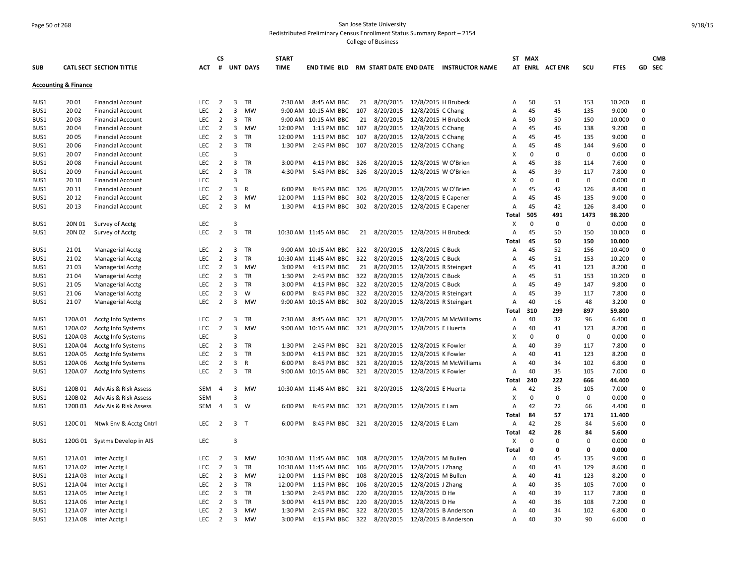# Page 50 of 268 San Jose State University Redistributed Preliminary Census Enrollment Status Summary Report – 2154 College of Business

| <b>SUB</b> |                                 | <b>CATL SECT SECTION TITTLE</b> | <b>ACT</b> | CS<br>#        |                         | <b>UNT DAYS</b> | <b>START</b><br><b>TIME</b> | <b>END TIME BLD</b>                                    |     |               |                     | RM START DATE END DATE INSTRUCTOR NAME |                | ST MAX      | AT ENRL ACTENR | SCU         | <b>FTES</b> |             | <b>CMB</b><br>GD SEC |
|------------|---------------------------------|---------------------------------|------------|----------------|-------------------------|-----------------|-----------------------------|--------------------------------------------------------|-----|---------------|---------------------|----------------------------------------|----------------|-------------|----------------|-------------|-------------|-------------|----------------------|
|            | <b>Accounting &amp; Finance</b> |                                 |            |                |                         |                 |                             |                                                        |     |               |                     |                                        |                |             |                |             |             |             |                      |
| BUS1       | 2001                            | <b>Financial Account</b>        | LEC        | $\overline{2}$ | 3                       | TR              | 7:30 AM                     | 8:45 AM BBC                                            |     | 21 8/20/2015  |                     | 12/8/2015 H Brubeck                    | Α              | 50          | 51             | 153         | 10.200      | $\Omega$    |                      |
| BUS1       | 2002                            | <b>Financial Account</b>        | LEC        | $\overline{2}$ | $\overline{3}$          | <b>MW</b>       |                             | 9:00 AM 10:15 AM BBC                                   | 107 | 8/20/2015     | 12/8/2015 C Chang   |                                        | Α              | 45          | 45             | 135         | 9.000       | $\mathbf 0$ |                      |
| BUS1       | 2003                            | <b>Financial Account</b>        | <b>LEC</b> | $\overline{2}$ | 3                       | <b>TR</b>       |                             | 9:00 AM 10:15 AM BBC                                   | 21  | 8/20/2015     |                     | 12/8/2015 H Brubeck                    | A              | 50          | 50             | 150         | 10.000      | $\mathbf 0$ |                      |
| BUS1       | 2004                            | <b>Financial Account</b>        | LEC        | $\overline{2}$ | 3                       | <b>MW</b>       | 12:00 PM                    | 1:15 PM BBC                                            | 107 | 8/20/2015     | 12/8/2015 C Chang   |                                        | A              | 45          | 46             | 138         | 9.200       | $\mathbf 0$ |                      |
| BUS1       | 2005                            | <b>Financial Account</b>        | <b>LEC</b> | $\overline{2}$ | 3                       | <b>TR</b>       | 12:00 PM                    | 1:15 PM BBC                                            | 107 | 8/20/2015     | 12/8/2015 C Chang   |                                        | Α              | 45          | 45             | 135         | 9.000       | $\Omega$    |                      |
| BUS1       | 2006                            | <b>Financial Account</b>        | <b>LEC</b> | $\overline{2}$ | 3                       | <b>TR</b>       | 1:30 PM                     | 2:45 PM BBC 107                                        |     | 8/20/2015     | 12/8/2015 C Chang   |                                        | Α              | 45          | 48             | 144         | 9.600       | $\mathbf 0$ |                      |
| BUS1       | 2007                            | <b>Financial Account</b>        | LEC        |                | $\overline{3}$          |                 |                             |                                                        |     |               |                     |                                        | X              | $\mathbf 0$ | $\pmb{0}$      | $\mathbf 0$ | 0.000       | $\mathbf 0$ |                      |
| BUS1       | 2008                            | <b>Financial Account</b>        | LEC        | $\overline{2}$ | 3                       | <b>TR</b>       | 3:00 PM                     | 4:15 PM BBC                                            | 326 | 8/20/2015     |                     | 12/8/2015 W O'Brien                    | Α              | 45          | 38             | 114         | 7.600       | $\mathbf 0$ |                      |
| BUS1       | 2009                            | <b>Financial Account</b>        | <b>LEC</b> | $\overline{2}$ | 3                       | <b>TR</b>       | 4:30 PM                     | 5:45 PM BBC                                            | 326 | 8/20/2015     |                     | 12/8/2015 W O'Brien                    | Α              | 45          | 39             | 117         | 7.800       | $\mathbf 0$ |                      |
| BUS1       | 20 10                           | <b>Financial Account</b>        | LEC        |                | $\overline{3}$          |                 |                             |                                                        |     |               |                     |                                        | х              | 0           | 0              | 0           | 0.000       | $\mathbf 0$ |                      |
| BUS1       | 20 11                           | <b>Financial Account</b>        | LEC        | $\overline{2}$ | 3                       | $\mathsf{R}$    | 6:00 PM                     | 8:45 PM BBC                                            | 326 | 8/20/2015     |                     | 12/8/2015 W O'Brien                    | Α              | 45          | 42             | 126         | 8.400       | $\mathbf 0$ |                      |
| BUS1       | 2012                            | <b>Financial Account</b>        | <b>LEC</b> | $\overline{2}$ | 3                       | <b>MW</b>       | 12:00 PM                    | 1:15 PM BBC                                            | 302 | 8/20/2015     |                     | 12/8/2015 E Capener                    | A              | 45          | 45             | 135         | 9.000       | $\Omega$    |                      |
| BUS1       | 20 13                           | <b>Financial Account</b>        | <b>LEC</b> | $\overline{2}$ | 3                       | M               | 1:30 PM                     | 4:15 PM BBC                                            | 302 | 8/20/2015     | 12/8/2015 E Capener |                                        | A              | 45          | 42             | 126         | 8.400       | $\mathbf 0$ |                      |
|            |                                 |                                 |            |                |                         |                 |                             |                                                        |     |               |                     |                                        | <b>Total</b>   | 505         | 491            | 1473        | 98.200      |             |                      |
| BUS1       | 20N 01                          | Survey of Acctg                 | LEC        |                | $\overline{3}$          |                 |                             |                                                        |     |               |                     |                                        | х              | 0           | $\mathbf 0$    | $\mathbf 0$ | 0.000       | 0           |                      |
| BUS1       | 20N 02                          | Survey of Acctg                 | <b>LEC</b> | $\overline{2}$ | $\overline{3}$          | <b>TR</b>       |                             | 10:30 AM 11:45 AM BBC                                  |     | 21 8/20/2015  |                     | 12/8/2015 H Brubeck                    | Α              | 45          | 50             | 150         | 10.000      | $\mathbf 0$ |                      |
|            |                                 |                                 |            |                |                         |                 |                             |                                                        |     |               |                     |                                        | Total          | 45          | 50             | 150         | 10.000      |             |                      |
| BUS1       | 2101                            | <b>Managerial Acctg</b>         | <b>LEC</b> | $\overline{2}$ | 3                       | TR              |                             | 9:00 AM 10:15 AM BBC                                   |     | 322 8/20/2015 | 12/8/2015 C Buck    |                                        | Α              | 45          | 52             | 156         | 10.400      | $\Omega$    |                      |
| BUS1       | 2102                            | <b>Managerial Acctg</b>         | <b>LEC</b> | $\overline{2}$ | 3                       | <b>TR</b>       |                             | 10:30 AM 11:45 AM BBC                                  | 322 | 8/20/2015     | 12/8/2015 C Buck    |                                        | Α              | 45          | 51             | 153         | 10.200      | $\mathbf 0$ |                      |
| BUS1       | 2103                            | <b>Managerial Acctg</b>         | LEC        | $\overline{2}$ | 3                       | MW              | 3:00 PM                     | 4:15 PM BBC                                            | 21  | 8/20/2015     |                     | 12/8/2015 R Steingart                  | Α              | 45          | 41             | 123         | 8.200       | $\mathbf 0$ |                      |
| BUS1       | 2104                            | <b>Managerial Acctg</b>         | LEC        | $\overline{2}$ | 3                       | TR              | 1:30 PM                     | 2:45 PM BBC                                            | 322 | 8/20/2015     | 12/8/2015 C Buck    |                                        | Α              | 45          | 51             | 153         | 10.200      | $\mathbf 0$ |                      |
| BUS1       | 2105                            | <b>Managerial Acctg</b>         | LEC        | $\overline{2}$ | 3                       | <b>TR</b>       | 3:00 PM                     | 4:15 PM BBC                                            | 322 | 8/20/2015     | 12/8/2015 C Buck    |                                        | Α              | 45          | 49             | 147         | 9.800       | $\mathbf 0$ |                      |
| BUS1       | 2106                            | <b>Managerial Acctg</b>         | LEC        | $\overline{2}$ | 3                       | W               | 6:00 PM                     | 8:45 PM BBC                                            | 322 | 8/20/2015     |                     | 12/8/2015 R Steingart                  | Α              | 45          | 39             | 117         | 7.800       | $\mathbf 0$ |                      |
| BUS1       | 2107                            | <b>Managerial Acctg</b>         | <b>LEC</b> | $\overline{2}$ | 3                       | MW              |                             | 9:00 AM 10:15 AM BBC                                   | 302 | 8/20/2015     |                     | 12/8/2015 R Steingart                  | Α              | 40          | 16             | 48          | 3.200       | $\mathbf 0$ |                      |
|            |                                 |                                 |            |                |                         |                 |                             |                                                        |     |               |                     |                                        | Total          | 310         | 299            | 897         | 59.800      |             |                      |
| BUS1       | 120A 01                         | Acctg Info Systems              | <b>LEC</b> | $\overline{2}$ | 3                       | TR              | 7:30 AM                     | 8:45 AM BBC                                            | 321 | 8/20/2015     |                     | 12/8/2015 M McWilliams                 | Α              | 40          | 32             | 96          | 6.400       | $\Omega$    |                      |
| BUS1       | 120A 02                         | Acctg Info Systems              | LEC        | $\overline{2}$ | 3                       | <b>MW</b>       |                             | 9:00 AM 10:15 AM BBC                                   | 321 | 8/20/2015     | 12/8/2015 E Huerta  |                                        | Α              | 40          | 41             | 123         | 8.200       | $\mathbf 0$ |                      |
| BUS1       | 120A 03                         | Acctg Info Systems              | <b>LEC</b> |                | $\overline{3}$          |                 |                             |                                                        |     |               |                     |                                        | X              | $\mathbf 0$ | $\mathbf 0$    | $\mathbf 0$ | 0.000       | $\mathbf 0$ |                      |
| BUS1       | 120A 04                         | Acctg Info Systems              | <b>LEC</b> | $\overline{2}$ | 3                       | TR              | 1:30 PM                     | 2:45 PM BBC                                            |     | 321 8/20/2015 | 12/8/2015 K Fowler  |                                        | Α              | 40          | 39             | 117         | 7.800       | $\mathbf 0$ |                      |
| BUS1       | 120A 05                         | Acctg Info Systems              | <b>LEC</b> | $\overline{2}$ | $\overline{3}$          | <b>TR</b>       | 3:00 PM                     | 4:15 PM BBC                                            | 321 | 8/20/2015     | 12/8/2015 K Fowler  |                                        | $\overline{A}$ | 40          | 41             | 123         | 8.200       | $\mathbf 0$ |                      |
| BUS1       | 120A 06                         | Acctg Info Systems              | LEC        | $\overline{2}$ | $\overline{\mathbf{3}}$ | $\mathsf{R}$    | 6:00 PM                     | 8:45 PM BBC                                            | 321 | 8/20/2015     |                     | 12/8/2015 M McWilliams                 | Α              | 40          | 34             | 102         | 6.800       | $\Omega$    |                      |
| BUS1       | 120A 07                         | Acctg Info Systems              | <b>LEC</b> | $\overline{2}$ | $\overline{3}$          | TR              |                             | 9:00 AM 10:15 AM BBC                                   | 321 | 8/20/2015     | 12/8/2015 K Fowler  |                                        | $\overline{A}$ | 40          | 35             | 105         | 7.000       | $\mathbf 0$ |                      |
|            |                                 |                                 |            |                |                         |                 |                             |                                                        |     |               |                     |                                        | Total          | 240         | 222            | 666         | 44.400      |             |                      |
| BUS1       | 120B01                          | Adv Ais & Risk Assess           | <b>SEM</b> | 4              | 3                       | MW              |                             | 10:30 AM 11:45 AM BBC 321 8/20/2015 12/8/2015 E Huerta |     |               |                     |                                        | Α              | 42          | 35             | 105         | 7.000       | 0           |                      |
| BUS1       | 120B02                          | Adv Ais & Risk Assess           | <b>SEM</b> |                | 3                       |                 |                             |                                                        |     |               |                     |                                        | X              | $\mathbf 0$ | $\mathbf 0$    | $\mathbf 0$ | 0.000       | $\mathbf 0$ |                      |
| BUS1       | 120B03                          | Adv Ais & Risk Assess           | <b>SEM</b> | $\overline{4}$ | $\overline{3}$          | W               | 6:00 PM                     | 8:45 PM BBC 321 8/20/2015 12/8/2015 E Lam              |     |               |                     |                                        | $\overline{A}$ | 42          | 22             | 66          | 4.400       | $\mathbf 0$ |                      |
|            |                                 |                                 |            |                |                         |                 |                             |                                                        |     |               |                     |                                        | Total          | 84          | 57             | 171         | 11.400      |             |                      |
| BUS1       | 120C 01                         | Ntwk Env & Acctg Cntrl          | <b>LEC</b> | $\overline{2}$ | $\overline{3}$          | $\top$          | 6:00 PM                     | 8:45 PM BBC 321 8/20/2015 12/8/2015 E Lam              |     |               |                     |                                        | A              | 42          | 28             | 84          | 5.600       | $\mathbf 0$ |                      |
|            |                                 |                                 |            |                |                         |                 |                             |                                                        |     |               |                     |                                        | Total          | 42          | 28             | 84          | 5.600       |             |                      |
| BUS1       | 120G 01                         | Systms Develop in AIS           | LEC        |                | 3                       |                 |                             |                                                        |     |               |                     |                                        | X              | $\mathbf 0$ | $\mathbf 0$    | 0           | 0.000       | 0           |                      |
|            |                                 |                                 |            |                |                         |                 |                             |                                                        |     |               |                     |                                        | <b>Total</b>   | $\mathbf 0$ | 0              | $\mathbf 0$ | 0.000       |             |                      |
| BUS1       | 121A 01                         | Inter Acctg I                   | LEC        | $\overline{2}$ | 3                       | MW              |                             | 10:30 AM 11:45 AM BBC                                  | 108 | 8/20/2015     | 12/8/2015 M Bullen  |                                        | Α              | 40          | 45             | 135         | 9.000       | $\Omega$    |                      |
| BUS1       | 121A02                          | Inter Acctg I                   | LEC        | $\overline{2}$ | 3                       | <b>TR</b>       |                             | 10:30 AM 11:45 AM BBC 106                              |     | 8/20/2015     | 12/8/2015 J Zhang   |                                        | Α              | 40          | 43             | 129         | 8.600       | $\mathbf 0$ |                      |
| BUS1       | 121A03                          | Inter Acctg I                   | LEC        | $\overline{2}$ | 3                       | <b>MW</b>       | 12:00 PM                    | 1:15 PM BBC                                            | 108 | 8/20/2015     | 12/8/2015 M Bullen  |                                        | Α              | 40          | 41             | 123         | 8.200       | $\mathbf 0$ |                      |
| BUS1       | 121A04                          | Inter Acctg I                   | LEC        | $\overline{2}$ | $\overline{\mathbf{3}}$ | TR              | 12:00 PM                    | 1:15 PM BBC                                            | 106 | 8/20/2015     | 12/8/2015 J Zhang   |                                        | A              | 40          | 35             | 105         | 7.000       | 0           |                      |
| BUS1       | 121A05                          | Inter Acctg I                   | <b>LEC</b> | $\overline{2}$ | 3                       | <b>TR</b>       | 1:30 PM                     | 2:45 PM BBC                                            | 220 | 8/20/2015     | 12/8/2015 D He      |                                        | Α              | 40          | 39             | 117         | 7.800       | $\mathbf 0$ |                      |
| BUS1       | 121A06                          | Inter Acctg I                   | LEC        | $\overline{2}$ | 3                       | TR              | 3:00 PM                     | 4:15 PM BBC                                            | 220 | 8/20/2015     | 12/8/2015 D He      |                                        | Α              | 40          | 36             | 108         | 7.200       | $\Omega$    |                      |
| BUS1       | 121A07                          | Inter Acctg                     | <b>LEC</b> | 2              | 3                       | MW              | 1:30 PM                     | 2:45 PM BBC                                            | 322 | 8/20/2015     |                     | 12/8/2015 B Anderson                   | Α              | 40          | 34             | 102         | 6.800       | $\mathbf 0$ |                      |
| BUS1       | 121A08                          | Inter Acctg I                   | <b>LEC</b> | $\overline{2}$ | $\overline{3}$          | <b>MW</b>       | 3:00 PM                     | 4:15 PM BBC 322                                        |     | 8/20/2015     |                     | 12/8/2015 B Anderson                   | A              | 40          | 30             | 90          | 6.000       | $\Omega$    |                      |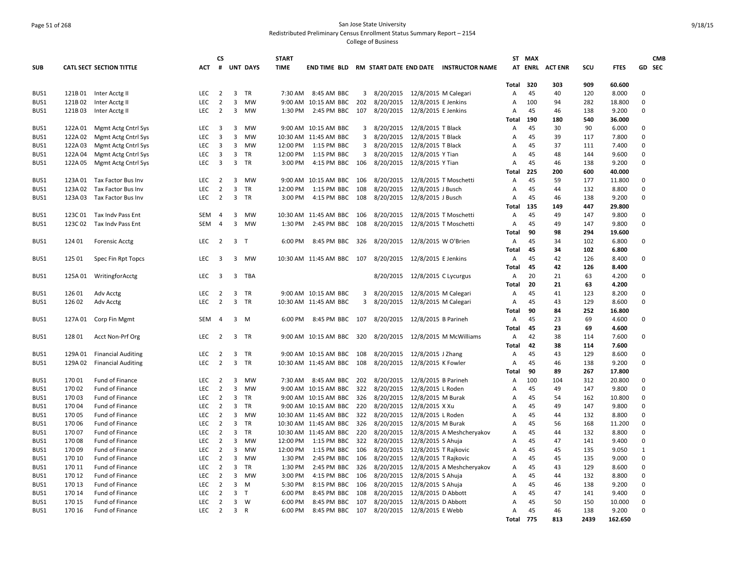# Page 51 of 268 San Jose State University Redistributed Preliminary Census Enrollment Status Summary Report – 2154 College of Business

| <b>SUB</b>   |                   | <b>CATL SECT SECTION TITTLE</b>           | ACT                      | <b>CS</b><br>#                   |                | <b>UNT DAYS</b>        | <b>START</b><br><b>TIME</b> |                                     |            |                                              |                      | END TIME BLD RM START DATE END DATE INSTRUCTOR NAME |              | ST MAX   | AT ENRL ACTENR | scu        | <b>FTES</b>     |                            | <b>CMB</b><br>GD SEC |
|--------------|-------------------|-------------------------------------------|--------------------------|----------------------------------|----------------|------------------------|-----------------------------|-------------------------------------|------------|----------------------------------------------|----------------------|-----------------------------------------------------|--------------|----------|----------------|------------|-----------------|----------------------------|----------------------|
|              |                   |                                           |                          |                                  |                |                        |                             |                                     |            |                                              |                      |                                                     | Total        | 320      | 303            | 909        | 60.600          |                            |                      |
| BUS1         | 121B01            | Inter Acctg II                            | LEC                      | $\overline{2}$                   | 3              | TR                     | 7:30 AM                     | 8:45 AM BBC                         | 3          | 8/20/2015 12/8/2015 M Calegari               |                      |                                                     | Α            | 45       | 40             | 120        | 8.000           | 0                          |                      |
| BUS1         | 121B02            | Inter Acctg II                            | <b>LEC</b>               | $\overline{2}$                   | 3              | <b>MW</b>              |                             | 9:00 AM 10:15 AM BBC                | 202        | 8/20/2015                                    | 12/8/2015 E Jenkins  |                                                     | Α            | 100      | 94             | 282        | 18.800          | $\mathbf 0$                |                      |
| BUS1         | 121B03            | Inter Acctg II                            | LEC                      | $\overline{2}$                   | $\overline{3}$ | <b>MW</b>              | 1:30 PM                     | 2:45 PM BBC                         | 107        | 8/20/2015 12/8/2015 E Jenkins                |                      |                                                     | Α            | 45       | 46             | 138        | 9.200           | $\mathbf 0$                |                      |
|              |                   |                                           |                          |                                  |                |                        |                             |                                     |            |                                              |                      |                                                     | Total        | 190      | 180            | 540        | 36.000          |                            |                      |
| BUS1         | 122A 01           | Mgmt Actg Cntrl Sys                       | LEC                      | 3                                | 3              | <b>MW</b>              |                             | 9:00 AM 10:15 AM BBC                | 3          | 8/20/2015 12/8/2015 T Black                  |                      |                                                     | Α            | 45       | 30             | 90         | 6.000           | 0                          |                      |
| BUS1         | 122A 02           | Mgmt Actg Cntrl Sys                       | <b>LEC</b>               | $\overline{3}$                   | $\overline{3}$ | <b>MW</b>              |                             | 10:30 AM 11:45 AM BBC               | 3          | 8/20/2015                                    | 12/8/2015 T Black    |                                                     | A            | 45       | 39             | 117        | 7.800           | 0                          |                      |
| BUS1         | 122A 03           | Mgmt Actg Cntrl Sys                       | <b>LEC</b>               | 3                                | $\overline{3}$ | <b>MW</b>              | 12:00 PM                    | 1:15 PM BBC                         | 3          | 8/20/2015                                    | 12/8/2015 T Black    |                                                     | Α            | 45       | 37             | 111        | 7.400           | $\mathbf 0$                |                      |
| BUS1         | 122A 04           | Mgmt Actg Cntrl Sys                       | <b>LEC</b>               | 3                                | 3              | TR                     | 12:00 PM                    | 1:15 PM BBC                         | 3          | 8/20/2015                                    | 12/8/2015 Y Tian     |                                                     | Α            | 45       | 48             | 144        | 9.600           | 0                          |                      |
| BUS1         | 122A 05           | Mgmt Actg Cntrl Sys                       | LEC                      | 3                                | 3              | <b>TR</b>              | 3:00 PM                     | 4:15 PM BBC                         | 106        | 8/20/2015                                    | 12/8/2015 Y Tian     |                                                     | Α            | 45       | 46             | 138        | 9.200           | 0                          |                      |
|              |                   |                                           |                          | $\overline{2}$                   |                |                        |                             |                                     |            |                                              |                      |                                                     | Total        | 225      | 200<br>59      | 600        | 40.000          | $\mathbf 0$                |                      |
| BUS1         | 123A01<br>123A 02 | Tax Factor Bus Inv                        | LEC<br><b>LEC</b>        | $\overline{2}$                   | 3<br>3         | MW<br><b>TR</b>        | 12:00 PM                    | 9:00 AM 10:15 AM BBC<br>1:15 PM BBC | 106<br>108 | 8/20/2015 12/8/2015 T Moschetti<br>8/20/2015 | 12/8/2015 J Busch    |                                                     | Α<br>A       | 45<br>45 | 44             | 177<br>132 | 11.800<br>8.800 | 0                          |                      |
| BUS1<br>BUS1 | 123A 03           | Tax Factor Bus Inv<br>Tax Factor Bus Inv  | LEC                      | $\overline{2}$                   | 3              | <b>TR</b>              | 3:00 PM                     | 4:15 PM BBC                         | 108        | 8/20/2015 12/8/2015 J Busch                  |                      |                                                     | Α            | 45       | 46             | 138        | 9.200           | $\mathbf 0$                |                      |
|              |                   |                                           |                          |                                  |                |                        |                             |                                     |            |                                              |                      |                                                     | Total        | 135      | 149            | 447        | 29.800          |                            |                      |
| BUS1         | 123C01            | Tax Indy Pass Ent                         | <b>SEM</b>               | $\overline{4}$                   | 3              | MW                     |                             | 10:30 AM 11:45 AM BBC               | 106        | 8/20/2015                                    |                      | 12/8/2015 T Moschetti                               | A            | 45       | 49             | 147        | 9.800           | 0                          |                      |
| BUS1         | 123C02            | Tax Indv Pass Ent                         | SEM                      | $\overline{4}$                   | $\overline{3}$ | <b>MW</b>              | 1:30 PM                     | 2:45 PM BBC                         | 108        | 8/20/2015  12/8/2015 T Moschetti             |                      |                                                     | Α            | 45       | 49             | 147        | 9.800           | 0                          |                      |
|              |                   |                                           |                          |                                  |                |                        |                             |                                     |            |                                              |                      |                                                     | Total        | 90       | 98             | 294        | 19.600          |                            |                      |
| BUS1         | 124 01            | <b>Forensic Acctg</b>                     | <b>LEC</b>               | $\overline{2}$                   | $\overline{3}$ | T                      | 6:00 PM                     | 8:45 PM BBC                         | 326        | 8/20/2015 12/8/2015 W O'Brien                |                      |                                                     | Α            | 45       | 34             | 102        | 6.800           | 0                          |                      |
|              |                   |                                           |                          |                                  |                |                        |                             |                                     |            |                                              |                      |                                                     | <b>Total</b> | 45       | 34             | 102        | 6.800           |                            |                      |
| BUS1         | 125 01            | Spec Fin Rpt Topcs                        | <b>LEC</b>               | 3                                | 3              | MW                     |                             | 10:30 AM 11:45 AM BBC 107           |            | 8/20/2015 12/8/2015 E Jenkins                |                      |                                                     | Α            | 45       | 42             | 126        | 8.400           | 0                          |                      |
|              |                   |                                           |                          |                                  |                |                        |                             |                                     |            |                                              |                      |                                                     | Total        | 45       | 42             | 126        | 8.400           |                            |                      |
| BUS1         | 125A 01           | WritingforAcctg                           | <b>LEC</b>               | 3                                | 3              | TBA                    |                             |                                     |            | 8/20/2015 12/8/2015 C Lycurgus               |                      |                                                     | Α            | 20       | 21             | 63         | 4.200           | 0                          |                      |
|              |                   |                                           |                          |                                  |                |                        |                             |                                     |            |                                              |                      |                                                     | Total        | 20       | 21             | 63         | 4.200           |                            |                      |
| BUS1         | 126 01            | Adv Acctg                                 | <b>LEC</b>               | $\overline{2}$                   | 3              | <b>TR</b>              |                             | 9:00 AM 10:15 AM BBC                | 3          | 8/20/2015 12/8/2015 M Calegari               |                      |                                                     | Α            | 45       | 41             | 123        | 8.200           | 0                          |                      |
| BUS1         | 126 02            | Adv Acctg                                 | LEC                      | $\overline{2}$                   | 3              | TR                     |                             | 10:30 AM 11:45 AM BBC               | 3          | 8/20/2015                                    |                      | 12/8/2015 M Calegari                                | Α            | 45       | 43             | 129        | 8.600           | 0                          |                      |
|              |                   |                                           |                          |                                  |                |                        |                             |                                     |            |                                              |                      |                                                     | Total        | 90       | 84             | 252        | 16.800          |                            |                      |
| BUS1         | 127A 01           | Corp Fin Mgmt                             | SEM                      | $\overline{4}$                   | 3              | M                      | 6:00 PM                     | 8:45 PM BBC                         | 107        | 8/20/2015 12/8/2015 B Parineh                |                      |                                                     | Α            | 45       | 23             | 69         | 4.600           | 0                          |                      |
|              |                   |                                           |                          |                                  |                |                        |                             |                                     |            |                                              |                      |                                                     | Total        | 45       | 23             | 69         | 4.600           |                            |                      |
| BUS1         | 12801             | Acct Non-Prf Org                          | LEC                      | $\overline{2}$                   | $\overline{3}$ | <b>TR</b>              |                             | 9:00 AM 10:15 AM BBC                | 320        |                                              |                      | 8/20/2015 12/8/2015 M McWilliams                    | Α            | 42       | 38             | 114        | 7.600           | 0                          |                      |
|              |                   |                                           |                          |                                  |                |                        |                             |                                     |            |                                              |                      |                                                     | Total        | 42       | 38             | 114        | 7.600           |                            |                      |
| BUS1         | 129A 01           | <b>Financial Auditing</b>                 | <b>LEC</b>               | 2                                | 3              | TR                     |                             | 9:00 AM 10:15 AM BBC                | 108        | 8/20/2015                                    | 12/8/2015 J Zhang    |                                                     | Α            | 45       | 43             | 129        | 8.600           | 0                          |                      |
| BUS1         | 129A 02           | <b>Financial Auditing</b>                 | LEC                      | $\overline{2}$                   | 3              | TR                     |                             | 10:30 AM 11:45 AM BBC               | 108        | 8/20/2015 12/8/2015 K Fowler                 |                      |                                                     | Α            | 45       | 46             | 138        | 9.200           | 0                          |                      |
|              |                   |                                           |                          |                                  |                |                        |                             |                                     |            |                                              |                      |                                                     | Total        | 90       | 89             | 267        | 17.800          |                            |                      |
| BUS1         | 17001             | Fund of Finance                           | LEC                      | $\overline{2}$                   | 3              | MW                     | 7:30 AM                     | 8:45 AM BBC                         | 202        | 8/20/2015                                    | 12/8/2015 B Parineh  |                                                     | Α            | 100      | 104            | 312        | 20.800          | 0                          |                      |
| BUS1         | 17002             | <b>Fund of Finance</b>                    | <b>LEC</b>               | $\overline{2}$                   | 3              | <b>MW</b>              |                             | 9:00 AM 10:15 AM BBC                | 322        | 8/20/2015                                    | 12/8/2015 L Roden    |                                                     | Α            | 45       | 49             | 147        | 9.800           | 0                          |                      |
| BUS1         | 17003             | Fund of Finance                           | LEC                      | $\overline{2}$                   | 3              | <b>TR</b>              |                             | 9:00 AM 10:15 AM BBC                | 326        | 8/20/2015                                    | 12/8/2015 M Burak    |                                                     | Α            | 45       | 54             | 162        | 10.800          | 0                          |                      |
| BUS1         | 17004             | Fund of Finance                           | <b>LEC</b>               | $\overline{2}$                   | $\overline{3}$ | <b>TR</b>              |                             | 9:00 AM 10:15 AM BBC                | 220        | 8/20/2015                                    | 12/8/2015 X Xu       |                                                     | A            | 45       | 49             | 147        | 9.800           | $\mathbf 0$                |                      |
| BUS1         | 17005             | Fund of Finance                           | LEC                      | $\overline{2}$                   | 3              | <b>MW</b>              |                             | 10:30 AM 11:45 AM BBC               | 322        | 8/20/2015                                    | 12/8/2015 L Roden    |                                                     | Α            | 45       | 44             | 132        | 8.800           | 0                          |                      |
| BUS1         | 17006             | <b>Fund of Finance</b>                    | <b>LEC</b>               | $\overline{2}$                   | 3              | <b>TR</b>              |                             | 10:30 AM 11:45 AM BBC               | 326        | 8/20/2015                                    | 12/8/2015 M Burak    |                                                     | A            | 45       | 56             | 168        | 11.200          | $\mathbf 0$                |                      |
| BUS1         | 17007             | <b>Fund of Finance</b>                    | LEC                      | $\overline{2}$                   | 3<br>3         | <b>TR</b><br><b>MW</b> |                             | 10:30 AM 11:45 AM BBC               | 220        | 8/20/2015                                    |                      | 12/8/2015 A Meshcheryakov                           | Α            | 45<br>45 | 44             | 132        | 8.800           | $\mathbf 0$<br>$\mathbf 0$ |                      |
| BUS1         | 17008             | <b>Fund of Finance</b>                    | <b>LEC</b>               | $\overline{2}$<br>$\overline{2}$ | 3              |                        | 12:00 PM                    | 1:15 PM BBC                         | 322        | 8/20/2015<br>8/20/2015                       | 12/8/2015 S Ahuja    |                                                     | A            |          | 47             | 141        | 9.400           | $\mathbf{1}$               |                      |
| BUS1<br>BUS1 | 17009<br>170 10   | <b>Fund of Finance</b><br>Fund of Finance | <b>LEC</b><br><b>LEC</b> | $\overline{2}$                   | 3              | MW<br><b>MW</b>        | 12:00 PM<br>1:30 PM         | 1:15 PM BBC<br>2:45 PM BBC          | 106<br>106 | 8/20/2015                                    | 12/8/2015 T Rajkovic | 12/8/2015 T Rajkovic                                | Α<br>Α       | 45<br>45 | 45<br>45       | 135<br>135 | 9.050<br>9.000  | 0                          |                      |
| BUS1         | 170 11            | <b>Fund of Finance</b>                    | <b>LEC</b>               | $\overline{2}$                   | 3              | TR                     | 1:30 PM                     | 2:45 PM BBC                         | 326        | 8/20/2015                                    |                      | 12/8/2015 A Meshcheryakov                           | Α            | 45       | 43             | 129        | 8.600           | $\mathbf 0$                |                      |
| BUS1         | 170 12            | Fund of Finance                           | LEC                      | $\overline{2}$                   | 3              | <b>MW</b>              | 3:00 PM                     | 4:15 PM BBC                         | 106        | 8/20/2015                                    | 12/8/2015 S Ahuja    |                                                     | Α            | 45       | 44             | 132        | 8.800           | 0                          |                      |
| BUS1         | 170 13            | <b>Fund of Finance</b>                    | <b>LEC</b>               | 2                                | 3              | M                      | 5:30 PM                     | 8:15 PM BBC                         | 106        | 8/20/2015                                    | 12/8/2015 S Ahuja    |                                                     | Α            | 45       | 46             | 138        | 9.200           | 0                          |                      |
| BUS1         | 170 14            | Fund of Finance                           | LEC                      | $\overline{2}$                   | 3              | T                      | 6:00 PM                     | 8:45 PM BBC                         | 108        | 8/20/2015                                    | 12/8/2015 D Abbott   |                                                     | Α            | 45       | 47             | 141        | 9.400           | 0                          |                      |
| BUS1         | 170 15            | <b>Fund of Finance</b>                    | <b>LEC</b>               | $\overline{2}$                   | $\overline{3}$ | W                      | 6:00 PM                     | 8:45 PM BBC                         | 107        | 8/20/2015                                    | 12/8/2015 D Abbott   |                                                     | A            | 45       | 50             | 150        | 10.000          | $\mathbf 0$                |                      |
| BUS1         | 170 16            | Fund of Finance                           | <b>LEC</b>               | $\overline{2}$                   | $\overline{3}$ | $\overline{R}$         | 6:00 PM                     | 8:45 PM BBC 107                     |            | 8/20/2015 12/8/2015 E Webb                   |                      |                                                     | Α            | 45       | 46             | 138        | 9.200           | $\mathbf 0$                |                      |
|              |                   |                                           |                          |                                  |                |                        |                             |                                     |            |                                              |                      |                                                     | Total        | 775      | 813            | 2439       | 162.650         |                            |                      |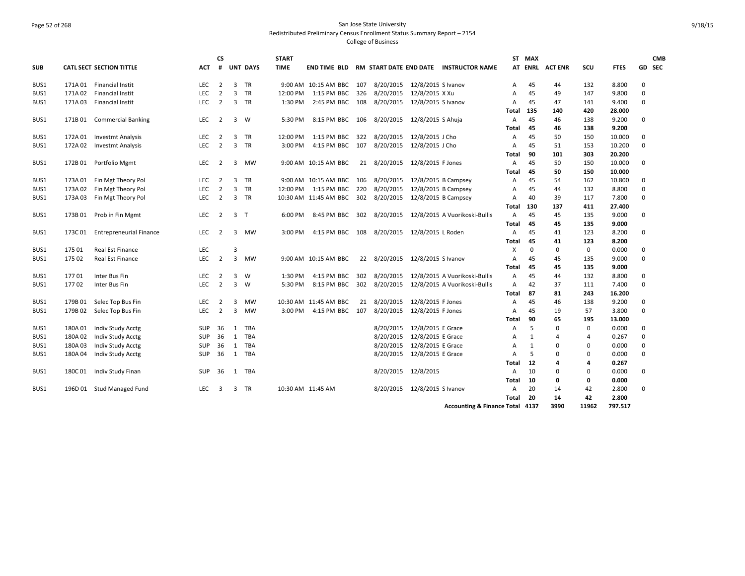# Page 52 of 268 San Jose State University Redistributed Preliminary Census Enrollment Status Summary Report – 2154 College of Business

|            |         |                                 |            | <b>CS</b>      |                |                 | <b>START</b> |                                             |     |              |                              |                                                     |              | ST MAX       |                |             |             |             | <b>CMB</b> |
|------------|---------|---------------------------------|------------|----------------|----------------|-----------------|--------------|---------------------------------------------|-----|--------------|------------------------------|-----------------------------------------------------|--------------|--------------|----------------|-------------|-------------|-------------|------------|
| <b>SUB</b> |         | <b>CATL SECT SECTION TITTLE</b> | ACT        | #              |                | <b>UNT DAYS</b> | <b>TIME</b>  |                                             |     |              |                              | END TIME BLD RM START DATE END DATE INSTRUCTOR NAME |              |              | AT ENRL ACTENR | SCU         | <b>FTES</b> |             | GD SEC     |
| BUS1       |         | 171A 01 Financial Instit        | <b>LEC</b> | $\overline{2}$ | 3              | TR              |              | 9:00 AM 10:15 AM BBC 107                    |     | 8/20/2015    | 12/8/2015 S Ivanov           |                                                     | $\mathsf{A}$ | 45           | 44             | 132         | 8.800       | $\Omega$    |            |
| BUS1       | 171A02  | <b>Financial Instit</b>         | <b>LEC</b> | $\overline{2}$ | $\overline{3}$ | <b>TR</b>       | 12:00 PM     | 1:15 PM BBC 326                             |     | 8/20/2015    | 12/8/2015 X Xu               |                                                     | Α            | 45           | 49             | 147         | 9.800       | $\Omega$    |            |
| BUS1       | 171A03  | <b>Financial Instit</b>         | <b>LEC</b> | $\overline{2}$ | 3              | TR              | 1:30 PM      | 2:45 PM BBC 108 8/20/2015                   |     |              | 12/8/2015 S Ivanov           |                                                     | Α            | 45           | 47             | 141         | 9.400       | 0           |            |
|            |         |                                 |            |                |                |                 |              |                                             |     |              |                              |                                                     | Total        | 135          | 140            | 420         | 28.000      |             |            |
| BUS1       | 171B 01 | <b>Commercial Banking</b>       | LEC        | $\overline{2}$ | 3              | W               | 5:30 PM      | 8:15 PM BBC 106 8/20/2015                   |     |              | 12/8/2015 S Ahuja            |                                                     | Α            | 45           | 46             | 138         | 9.200       | 0           |            |
|            |         |                                 |            |                |                |                 |              |                                             |     |              |                              |                                                     | Total        | 45           | 46             | 138         | 9.200       |             |            |
| BUS1       | 172A 01 | <b>Investmt Analysis</b>        | LEC        | $\overline{2}$ | 3              | TR              | 12:00 PM     | 1:15 PM BBC                                 | 322 | 8/20/2015    | 12/8/2015 J Cho              |                                                     | Α            | 45           | 50             | 150         | 10.000      | 0           |            |
| BUS1       | 172A 02 | <b>Investmt Analysis</b>        | <b>LEC</b> | $\overline{2}$ | $\overline{3}$ | <b>TR</b>       | 3:00 PM      | 4:15 PM BBC                                 | 107 | 8/20/2015    | 12/8/2015 J Cho              |                                                     | A            | 45           | 51             | 153         | 10.200      | 0           |            |
|            |         |                                 |            |                |                |                 |              |                                             |     |              |                              |                                                     | Total        | 90           | 101            | 303         | 20.200      |             |            |
| BUS1       | 172B01  | Portfolio Mgmt                  | <b>LEC</b> | $\overline{2}$ | 3              | MW              |              | 9:00 AM 10:15 AM BBC                        |     | 21 8/20/2015 | 12/8/2015 F Jones            |                                                     | $\mathsf{A}$ | 45           | 50             | 150         | 10.000      | $\Omega$    |            |
|            |         |                                 |            |                |                |                 |              |                                             |     |              |                              |                                                     | <b>Total</b> | 45           | 50             | 150         | 10.000      |             |            |
| BUS1       | 173A 01 | Fin Mgt Theory Pol              | <b>LEC</b> | $\overline{2}$ | 3              | TR              |              | 9:00 AM 10:15 AM BBC 106 8/20/2015          |     |              |                              | 12/8/2015 B Campsey                                 | A            | 45           | 54             | 162         | 10.800      | 0           |            |
| BUS1       | 173A02  | Fin Mgt Theory Pol              | <b>LEC</b> | $\overline{2}$ | 3              | <b>TR</b>       | 12:00 PM     | 1:15 PM BBC                                 | 220 | 8/20/2015    |                              | 12/8/2015 B Campsey                                 | Α            | 45           | 44             | 132         | 8.800       | 0           |            |
| BUS1       | 173A03  | Fin Mgt Theory Pol              | LEC        | $\overline{2}$ | $\overline{3}$ | TR              |              | 10:30 AM 11:45 AM BBC 302 8/20/2015         |     |              |                              | 12/8/2015 B Campsey                                 | Α            | 40           | 39             | 117         | 7.800       | $\mathbf 0$ |            |
|            |         |                                 |            |                |                |                 |              |                                             |     |              |                              |                                                     | Total        | 130          | 137            | 411         | 27.400      |             |            |
| BUS1       | 173B01  | Prob in Fin Mgmt                | LEC        | $\overline{2}$ | $\overline{3}$ | $\mathsf{T}$    | 6:00 PM      | 8:45 PM BBC                                 | 302 | 8/20/2015    |                              | 12/8/2015 A Vuorikoski-Bullis                       | Α            | 45           | 45             | 135         | 9.000       | 0           |            |
|            |         |                                 |            |                |                |                 |              |                                             |     |              |                              |                                                     | Total        | 45           | 45             | 135         | 9.000       |             |            |
| BUS1       | 173C01  | <b>Entrepreneurial Finance</b>  | <b>LEC</b> | $\overline{2}$ | 3              | <b>MW</b>       | 3:00 PM      | 4:15 PM BBC 108 8/20/2015 12/8/2015 L Roden |     |              |                              |                                                     | Α            | 45           | 41             | 123         | 8.200       | 0           |            |
|            |         |                                 |            |                |                |                 |              |                                             |     |              |                              |                                                     | Total        | 45           | 41             | 123         | 8.200       |             |            |
| BUS1       | 175 01  | <b>Real Est Finance</b>         | <b>LEC</b> |                | 3              |                 |              |                                             |     |              |                              |                                                     | X            | $\Omega$     | $\mathbf 0$    | $\mathbf 0$ | 0.000       | 0           |            |
| BUS1       | 175 02  | Real Est Finance                | LEC        | $\overline{2}$ | $\overline{3}$ | MW              |              | 9:00 AM 10:15 AM BBC                        |     | 22 8/20/2015 | 12/8/2015 S Ivanov           |                                                     | Α            | 45           | 45             | 135         | 9.000       | $\Omega$    |            |
|            |         |                                 |            |                |                |                 |              |                                             |     |              |                              |                                                     | Total        | 45           | 45             | 135         | 9.000       |             |            |
| BUS1       | 17701   | Inter Bus Fin                   | <b>LEC</b> | $\overline{2}$ | 3              | W               | 1:30 PM      | 4:15 PM BBC                                 | 302 | 8/20/2015    |                              | 12/8/2015 A Vuorikoski-Bullis                       | Α            | 45           | 44             | 132         | 8.800       | 0           |            |
| BUS1       | 17702   | Inter Bus Fin                   | <b>LEC</b> | $\overline{2}$ | $\overline{3}$ | W               | 5:30 PM      | 8:15 PM BBC                                 | 302 | 8/20/2015    |                              | 12/8/2015 A Vuorikoski-Bullis                       | A            | 42           | 37             | 111         | 7.400       | $\Omega$    |            |
|            |         |                                 |            |                |                |                 |              |                                             |     |              |                              |                                                     | Total        | 87           | 81             | 243         | 16.200      |             |            |
| BUS1       | 179B 01 | Selec Top Bus Fin               | <b>LEC</b> | $\overline{2}$ | 3              | <b>MW</b>       |              | 10:30 AM 11:45 AM BBC                       | 21  | 8/20/2015    | 12/8/2015 F Jones            |                                                     | A            | 45           | 46             | 138         | 9.200       | $\Omega$    |            |
| BUS1       | 179B02  | Selec Top Bus Fin               | <b>LEC</b> | $\overline{2}$ | 3              | <b>MW</b>       | 3:00 PM      | 4:15 PM BBC 107                             |     | 8/20/2015    | 12/8/2015 F Jones            |                                                     | Α            | 45           | 19             | 57          | 3.800       | $\Omega$    |            |
|            |         |                                 |            |                |                |                 |              |                                             |     |              |                              |                                                     | Total        | 90           | 65             | 195         | 13.000      |             |            |
| BUS1       | 180A 01 | Indiv Study Acctg               | <b>SUP</b> | 36             | 1              | TBA             |              |                                             |     | 8/20/2015    | 12/8/2015 E Grace            |                                                     | $\mathsf{A}$ | 5            | 0              | $\mathbf 0$ | 0.000       | $\Omega$    |            |
| BUS1       | 180A02  | Indiv Study Acctg               | <b>SUP</b> | 36             | 1              | TBA             |              |                                             |     | 8/20/2015    | 12/8/2015 E Grace            |                                                     | Α            | $\mathbf{1}$ | 4              | 4           | 0.267       | $\mathbf 0$ |            |
| BUS1       | 180A03  | Indiv Study Acctg               | <b>SUP</b> | 36             | 1              | TBA             |              |                                             |     | 8/20/2015    | 12/8/2015 E Grace            |                                                     | A            | 1            | 0              | $\Omega$    | 0.000       | 0           |            |
| BUS1       | 180A04  | Indiv Study Acctg               | <b>SUP</b> | 36             | 1              | TBA             |              |                                             |     | 8/20/2015    | 12/8/2015 E Grace            |                                                     | Α            | 5            | 0              | $\Omega$    | 0.000       | $\mathbf 0$ |            |
|            |         |                                 |            |                |                |                 |              |                                             |     |              |                              |                                                     | Total        | 12           | 4              | 4           | 0.267       |             |            |
| BUS1       | 180C01  | Indiv Study Finan               | <b>SUP</b> | 36             | 1              | TBA             |              |                                             |     |              | 8/20/2015 12/8/2015          |                                                     | A            | 10           | 0              | $\Omega$    | 0.000       | 0           |            |
|            |         |                                 |            |                |                |                 |              |                                             |     |              |                              |                                                     | Total        | 10           | 0              | 0           | 0.000       |             |            |
| BUS1       |         | 196D 01 Stud Managed Fund       | <b>LEC</b> | 3              | 3              | TR              |              | 10:30 AM 11:45 AM                           |     |              | 8/20/2015 12/8/2015 S Ivanov |                                                     | $\mathsf{A}$ | 20           | 14             | 42          | 2.800       | $\Omega$    |            |
|            |         |                                 |            |                |                |                 |              |                                             |     |              |                              |                                                     | Total        | 20           | 14             | 42          | 2.800       |             |            |
|            |         |                                 |            |                |                |                 |              |                                             |     |              |                              | Accounting & Finance Total 4137                     |              |              | 3990           | 11962       | 797.517     |             |            |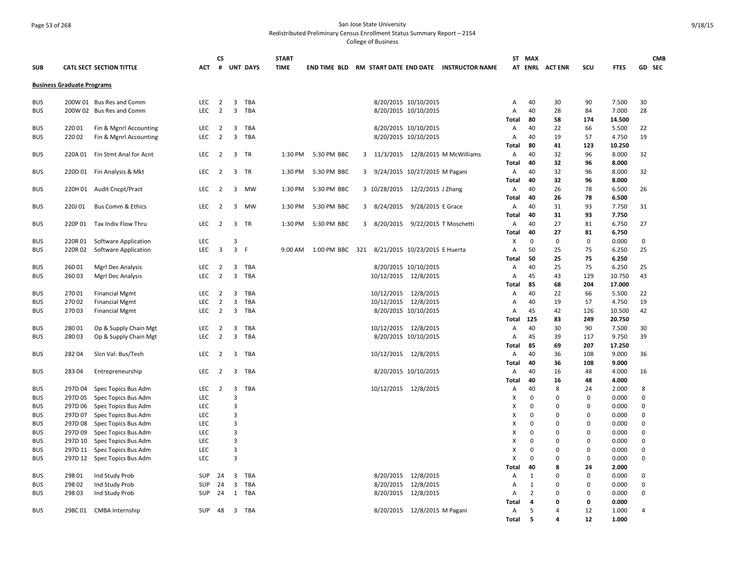# Page 53 of 268 San Jose State University Redistributed Preliminary Census Enrollment Status Summary Report – 2154 College of Business

| <b>SUB</b>               |                                   | <b>CATL SECT SECTION TITTLE</b>            | АСТ        | <b>CS</b><br>#          |                         | <b>UNT DAYS</b> | <b>START</b><br>TIME |                 |   |                                 |                              | <b>END TIME BLD RM START DATE END DATE INSTRUCTOR NAME</b> |            | ST MAX                  | AT ENRL ACTENR          | scu           | <b>FTES</b>    |                  | <b>CMB</b><br>GD SEC |
|--------------------------|-----------------------------------|--------------------------------------------|------------|-------------------------|-------------------------|-----------------|----------------------|-----------------|---|---------------------------------|------------------------------|------------------------------------------------------------|------------|-------------------------|-------------------------|---------------|----------------|------------------|----------------------|
|                          | <b>Business Graduate Programs</b> |                                            |            |                         |                         |                 |                      |                 |   |                                 |                              |                                                            |            |                         |                         |               |                |                  |                      |
| <b>BUS</b>               |                                   | 200W 01 Bus Res and Comm                   | <b>LEC</b> | $\overline{2}$          | 3                       | TBA             |                      |                 |   |                                 | 8/20/2015 10/10/2015         |                                                            | Α          | 40                      | 30                      | 90            | 7.500          | 30               |                      |
| <b>BUS</b>               |                                   | 200W 02 Bus Res and Comm                   | <b>LEC</b> | $\overline{2}$          | 3                       | <b>TBA</b>      |                      |                 |   |                                 | 8/20/2015 10/10/2015         |                                                            | Α          | 40                      | 28                      | 84            | 7.000          | 28               |                      |
|                          |                                   |                                            |            |                         |                         |                 |                      |                 |   |                                 |                              |                                                            | Total      | 80                      | 58                      | 174           | 14.500         |                  |                      |
| <b>BUS</b>               | 22001                             | Fin & Mgnrl Accounting                     | LEC        | $\overline{2}$          | 3                       | TBA             |                      |                 |   |                                 | 8/20/2015 10/10/2015         |                                                            | Α          | 40                      | 22                      | 66            | 5.500          | 22               |                      |
| <b>BUS</b>               | 22002                             | Fin & Mgnrl Accounting                     | <b>LEC</b> | 2                       | 3                       | <b>TBA</b>      |                      |                 |   |                                 | 8/20/2015 10/10/2015         |                                                            | A          | 40                      | 19                      | 57            | 4.750          | 19               |                      |
|                          |                                   |                                            |            |                         |                         |                 |                      |                 |   |                                 |                              |                                                            | Total      | 80                      | 41                      | 123           | 10.250         |                  |                      |
| <b>BUS</b>               | 220A 01                           | Fin Stmt Anal for Acnt                     | <b>LEC</b> | 2                       | 3                       | <b>TR</b>       | 1:30 PM              | 5:30 PM BBC     |   |                                 |                              | 3 11/3/2015 12/8/2015 M McWilliams                         | Α          | 40                      | 32                      | 96            | 8.000          | 32               |                      |
|                          |                                   |                                            |            |                         |                         |                 |                      |                 |   |                                 |                              |                                                            | Total      | 40                      | 32                      | 96            | 8.000          |                  |                      |
| <b>BUS</b>               |                                   | 220D 01 Fin Analysis & Mkt                 | <b>LEC</b> | $\overline{2}$          | $\overline{\mathbf{3}}$ | TR              | 1:30 PM              | 5:30 PM BBC     |   | 3 9/24/2015 10/27/2015 M Pagani |                              |                                                            | Α          | 40                      | 32                      | 96            | 8.000          | 32               |                      |
|                          |                                   |                                            |            |                         |                         |                 |                      |                 |   |                                 |                              |                                                            | Total      | 40                      | 32                      | 96            | 8.000          |                  |                      |
| <b>BUS</b>               |                                   | 220H 01 Audit Cncpt/Pract                  | LEC        | $\overline{2}$          | 3                       | MW              | 1:30 PM              | 5:30 PM BBC     |   | 3 10/28/2015 12/2/2015 J Zhang  |                              |                                                            | Α          | 40<br>40                | 26                      | 78            | 6.500          | 26               |                      |
| <b>BUS</b>               | 220J01                            | <b>Bus Comm &amp; Ethics</b>               | <b>LEC</b> | $\overline{2}$          | 3                       | <b>MW</b>       | 1:30 PM              | 5:30 PM BBC     |   | 3 8/24/2015                     | 9/28/2015 E Grace            |                                                            | Total<br>A | 40                      | 26<br>31                | 78<br>93      | 6.500<br>7.750 | 31               |                      |
|                          |                                   |                                            |            |                         |                         |                 |                      |                 |   |                                 |                              |                                                            | Total      | 40                      | 31                      | 93            | 7.750          |                  |                      |
| <b>BUS</b>               | 220P 01                           | Tax Indiv Flow Thru                        | LEC        | $\overline{2}$          | 3                       | TR              | 1:30 PM              | 5:30 PM BBC     | 3 | 8/20/2015                       | 9/22/2015 T Moschetti        |                                                            | Α          | 40                      | 27                      | 81            | 6.750          | 27               |                      |
|                          |                                   |                                            |            |                         |                         |                 |                      |                 |   |                                 |                              |                                                            | Total      | 40                      | 27                      | 81            | 6.750          |                  |                      |
| <b>BUS</b>               | 220R01                            | Software Application                       | LEC        |                         | 3                       |                 |                      |                 |   |                                 |                              |                                                            | Х          | $\mathbf 0$             | 0                       | $\mathbf 0$   | 0.000          | 0                |                      |
| <b>BUS</b>               | 220R02                            | Software Application                       | LEC        | $\overline{\mathbf{3}}$ | 3                       | F               | 9:00 AM              | 1:00 PM BBC 321 |   | 8/21/2015 10/23/2015 E Huerta   |                              |                                                            | Α          | 50                      | 25                      | 75            | 6.250          | 25               |                      |
|                          |                                   |                                            |            |                         |                         |                 |                      |                 |   |                                 |                              |                                                            | Total      | 50                      | 25                      | 75            | 6.250          |                  |                      |
| <b>BUS</b>               | 26001                             | Mgrl Dec Analysis                          | LEC        | $\overline{2}$          | 3                       | <b>TBA</b>      |                      |                 |   |                                 | 8/20/2015 10/10/2015         |                                                            | Α          | 40                      | 25                      | 75            | 6.250          | 25               |                      |
| <b>BUS</b>               | 260 03                            | <b>Mgrl Dec Analysis</b>                   | <b>LEC</b> | $\overline{2}$          | $\overline{3}$          | <b>TBA</b>      |                      |                 |   | 10/12/2015 12/8/2015            |                              |                                                            | A          | 45                      | 43                      | 129           | 10.750         | 43               |                      |
|                          |                                   |                                            |            |                         |                         |                 |                      |                 |   |                                 |                              |                                                            | Total      | 85                      | 68                      | 204           | 17.000         |                  |                      |
| <b>BUS</b>               | 27001                             | <b>Financial Mgmt</b>                      | LEC        | $\overline{2}$          | 3                       | <b>TBA</b>      |                      |                 |   | 10/12/2015 12/8/2015            |                              |                                                            | Α          | 40                      | 22                      | 66            | 5.500          | 22               |                      |
| <b>BUS</b>               | 270 02                            | <b>Financial Mgmt</b>                      | LEC        | $\overline{2}$          | 3                       | <b>TBA</b>      |                      |                 |   | 10/12/2015 12/8/2015            |                              |                                                            | Α          | 40                      | 19                      | 57            | 4.750          | 19               |                      |
| <b>BUS</b>               | 27003                             | <b>Financial Mgmt</b>                      | <b>LEC</b> | $\overline{2}$          | $\overline{\mathbf{3}}$ | TBA             |                      |                 |   |                                 | 8/20/2015 10/10/2015         |                                                            | A          | 45                      | 42                      | 126           | 10.500         | 42               |                      |
|                          |                                   |                                            |            |                         |                         |                 |                      |                 |   |                                 |                              |                                                            | Total      | 125                     | 83                      | 249           | 20.750         |                  |                      |
| <b>BUS</b>               | 28001                             | Op & Supply Chain Mgt                      | <b>LEC</b> | $\overline{2}$          | 3                       | <b>TBA</b>      |                      |                 |   | 10/12/2015 12/8/2015            |                              |                                                            | Α          | 40                      | 30                      | 90            | 7.500          | 30               |                      |
| <b>BUS</b>               | 28003                             | Op & Supply Chain Mgt                      | LEC        | $\overline{2}$          | $\overline{3}$          | TBA             |                      |                 |   |                                 | 8/20/2015 10/10/2015         |                                                            | Α          | 45                      | 39                      | 117           | 9.750          | 39               |                      |
|                          |                                   |                                            |            |                         |                         |                 |                      |                 |   |                                 |                              |                                                            | Total      | 85                      | 69                      | 207           | 17.250         |                  |                      |
| <b>BUS</b>               | 28204                             | Sicn Val: Bus/Tech                         | LEC        | $\overline{2}$          | $\overline{3}$          | TBA             |                      |                 |   | 10/12/2015 12/8/2015            |                              |                                                            | Α          | 40                      | 36                      | 108           | 9.000          | 36               |                      |
|                          |                                   |                                            |            |                         |                         |                 |                      |                 |   |                                 |                              |                                                            | Total      | 40                      | 36                      | 108           | 9.000          |                  |                      |
| <b>BUS</b>               | 28304                             | Entrepreneurship                           | LEC        | $\overline{2}$          | $\overline{3}$          | TBA             |                      |                 |   |                                 | 8/20/2015 10/10/2015         |                                                            | Α          | 40                      | 16                      | 48            | 4.000          | 16               |                      |
|                          |                                   |                                            |            |                         |                         |                 |                      |                 |   |                                 |                              |                                                            | Total      | 40                      | 16                      | 48            | 4.000          |                  |                      |
| <b>BUS</b>               | 297D04                            | Spec Topics Bus Adm                        | LEC        | $\overline{2}$          | 3                       | TBA             |                      |                 |   | 10/12/2015 12/8/2015            |                              |                                                            | Α          | 40                      | 8                       | 24            | 2.000          | 8                |                      |
| <b>BUS</b>               | 297D 05                           | Spec Topics Bus Adm                        | <b>LEC</b> |                         | $\overline{3}$          |                 |                      |                 |   |                                 |                              |                                                            | X          | $\mathbf 0$             | $\Omega$                | 0             | 0.000          | $\mathbf 0$      |                      |
| <b>BUS</b>               | 297D 06                           | Spec Topics Bus Adm                        | LEC        |                         | 3                       |                 |                      |                 |   |                                 |                              |                                                            | х          | $\mathbf 0$             | $\mathbf 0$             | $\mathbf 0$   | 0.000          | 0                |                      |
| <b>BUS</b>               | 297D 07                           | Spec Topics Bus Adm                        | LEC        |                         | 3                       |                 |                      |                 |   |                                 |                              |                                                            | X          | $\mathbf 0$             | $\Omega$                | $\Omega$      | 0.000          | 0                |                      |
| <b>BUS</b>               | 297D08                            | Spec Topics Bus Adm                        | LEC        |                         | 3                       |                 |                      |                 |   |                                 |                              |                                                            | Х          | $\mathbf 0$             | 0                       | 0             | 0.000          | 0                |                      |
| <b>BUS</b>               | 297D09                            | Spec Topics Bus Adm                        | <b>LEC</b> |                         | 3<br>3                  |                 |                      |                 |   |                                 |                              |                                                            | X          | $\mathbf 0$<br>$\Omega$ | $\mathbf 0$<br>$\Omega$ | 0<br>$\Omega$ | 0.000          | 0                |                      |
| <b>BUS</b>               | 297D 10                           | Spec Topics Bus Adm                        | LEC        |                         | 3                       |                 |                      |                 |   |                                 |                              |                                                            | Χ          | $\Omega$                | $\Omega$                | 0             | 0.000          | 0<br>$\mathbf 0$ |                      |
| <b>BUS</b><br><b>BUS</b> | 297D 11<br>297D 12                | Spec Topics Bus Adm<br>Spec Topics Bus Adm | LEC<br>LEC |                         | 3                       |                 |                      |                 |   |                                 |                              |                                                            | X<br>X     | $\mathbf 0$             | $\mathbf 0$             | 0             | 0.000<br>0.000 | 0                |                      |
|                          |                                   |                                            |            |                         |                         |                 |                      |                 |   |                                 |                              |                                                            | Total      | 40                      | 8                       | 24            | 2.000          |                  |                      |
| <b>BUS</b>               | 298 01                            | Ind Study Prob                             | <b>SUP</b> | 24                      | 3                       | TBA             |                      |                 |   |                                 | 8/20/2015 12/8/2015          |                                                            | Α          | 1                       | $\mathbf 0$             | 0             | 0.000          | 0                |                      |
| <b>BUS</b>               | 29802                             | Ind Study Prob                             | <b>SUP</b> | 24                      | 3                       | TBA             |                      |                 |   |                                 | 8/20/2015 12/8/2015          |                                                            | Α          | 1                       | 0                       | 0             | 0.000          | 0                |                      |
| <b>BUS</b>               | 298 03                            | Ind Study Prob                             | SUP        | 24                      | 1                       | TBA             |                      |                 |   |                                 | 8/20/2015 12/8/2015          |                                                            | Α          | $\overline{2}$          | $\Omega$                | 0             | 0.000          | 0                |                      |
|                          |                                   |                                            |            |                         |                         |                 |                      |                 |   |                                 |                              |                                                            | Total      | 4                       | 0                       | 0             | 0.000          |                  |                      |
| <b>BUS</b>               |                                   | 298C 01 CMBA Internship                    | SUP        | 48                      | $\overline{\mathbf{3}}$ | TBA             |                      |                 |   |                                 | 8/20/2015 12/8/2015 M Pagani |                                                            | Α          | 5                       | $\Delta$                | 12            | 1.000          | 4                |                      |
|                          |                                   |                                            |            |                         |                         |                 |                      |                 |   |                                 |                              |                                                            | Total      | 5                       | 4                       | 12            | 1.000          |                  |                      |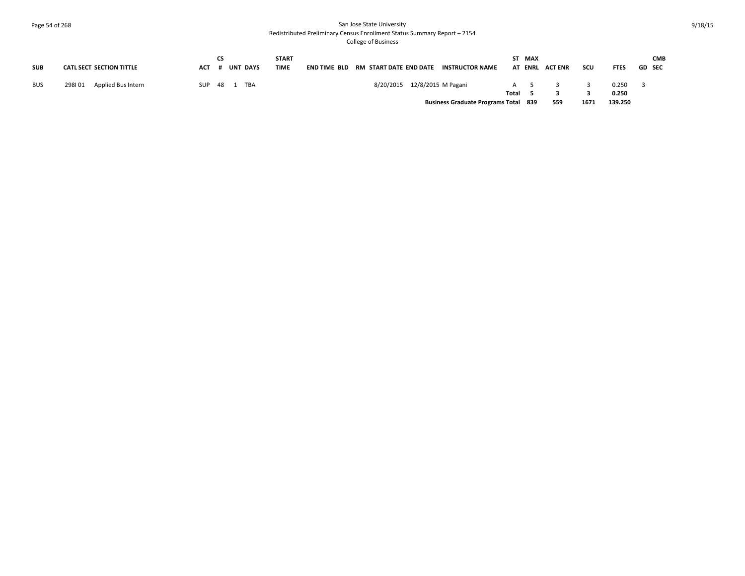# Page 54 of 268 San Jose State University Redistributed Preliminary Census Enrollment Status Summary Report – 2154 College of Business

| <b>SUB</b> | <b>CATL SECT SECTION TITTLE</b> | ACT | CS | <b>UNT DAYS</b> | <b>START</b><br><b>TIME</b> |  |                              | <b>END TIME BLD RM START DATE END DATE INSTRUCTOR NAME</b> |       | ST MAX | AT ENRL ACTENR | scu  | <b>FTES</b>      | <b>GD SEC</b> | <b>CMB</b> |
|------------|---------------------------------|-----|----|-----------------|-----------------------------|--|------------------------------|------------------------------------------------------------|-------|--------|----------------|------|------------------|---------------|------------|
| <b>BUS</b> | Applied Bus Intern<br>298101    | SUP |    | 48 1 TBA        |                             |  | 8/20/2015 12/8/2015 M Pagani |                                                            | Total | A 5    |                |      | 0.250            |               |            |
|            |                                 |     |    |                 |                             |  |                              | <b>Business Graduate Programs Total 839</b>                |       |        | 559            | 1671 | 0.250<br>139.250 |               |            |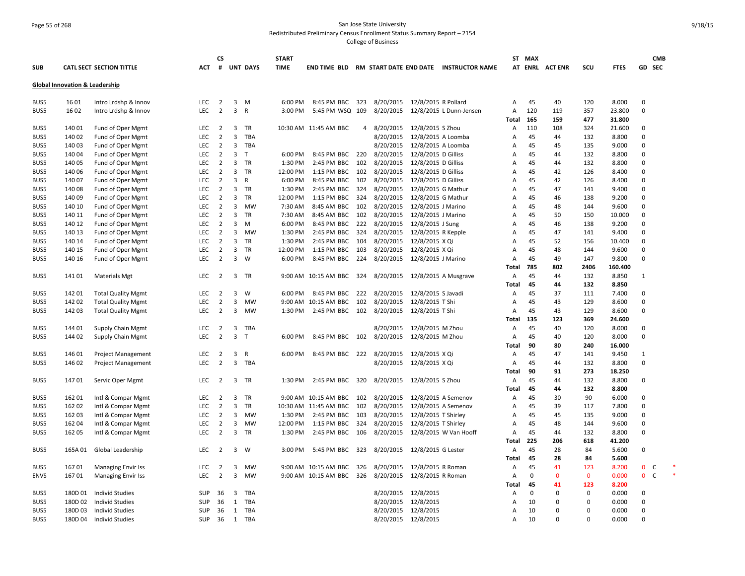# Page 55 of 268 San Jose State University Redistributed Preliminary Census Enrollment Status Summary Report – 2154

College of Business

|              |                                           |                                        |                   | CS                               |                         |                 | <b>START</b>        |                            |                |                               |                                            |                                                     |            | ST MAX      |                |              |                 |                         | <b>CMB</b> |
|--------------|-------------------------------------------|----------------------------------------|-------------------|----------------------------------|-------------------------|-----------------|---------------------|----------------------------|----------------|-------------------------------|--------------------------------------------|-----------------------------------------------------|------------|-------------|----------------|--------------|-----------------|-------------------------|------------|
| <b>SUB</b>   |                                           | <b>CATL SECT SECTION TITTLE</b>        | <b>ACT</b>        | #                                |                         | <b>UNT DAYS</b> | <b>TIME</b>         |                            |                |                               |                                            | END TIME BLD RM START DATE END DATE INSTRUCTOR NAME |            |             | AT ENRL ACTENR | SCU          | <b>FTES</b>     | GD SEC                  |            |
|              | <b>Global Innovation &amp; Leadership</b> |                                        |                   |                                  |                         |                 |                     |                            |                |                               |                                            |                                                     |            |             |                |              |                 |                         |            |
| BUS5         | 1601                                      | Intro Lrdshp & Innov                   | LEC               | $\overline{2}$                   | $\overline{3}$          | M               | 6:00 PM             | 8:45 PM BBC                | 323            | 8/20/2015 12/8/2015 R Pollard |                                            |                                                     | Α          | 45          | 40             | 120          | 8.000           | $\mathbf 0$             |            |
| BUS5         | 1602                                      | Intro Lrdshp & Innov                   | LEC               | $\overline{2}$                   | $\overline{3}$          | $\mathsf{R}$    | 3:00 PM             | 5:45 PM WSQ 109            |                |                               |                                            | 8/20/2015 12/8/2015 L Dunn-Jensen                   | А          | 120         | 119            | 357          | 23.800          | $\mathbf 0$             |            |
|              |                                           |                                        |                   |                                  |                         |                 |                     |                            |                |                               |                                            |                                                     | Total      | 165         | 159            | 477          | 31.800          |                         |            |
| BUS5         | 140 01                                    | Fund of Oper Mgmt                      | <b>LEC</b>        | $\overline{2}$                   | 3                       | TR              |                     | 10:30 AM 11:45 AM BBC      | $\overline{4}$ | 8/20/2015                     | 12/8/2015 S Zhou                           |                                                     | Α          | 110         | 108            | 324          | 21.600          | $\Omega$                |            |
| BUS5         | 140 02                                    | Fund of Oper Mgmt                      | <b>LEC</b>        | $\overline{2}$                   | 3                       | <b>TBA</b>      |                     |                            |                | 8/20/2015                     | 12/8/2015 A Loomba                         |                                                     | Α          | 45          | 44             | 132          | 8.800           | $\mathbf 0$             |            |
| BUS5         | 140 03                                    | Fund of Oper Mgmt                      | <b>LEC</b>        | $\overline{2}$                   | 3                       | TBA             |                     |                            |                | 8/20/2015                     | 12/8/2015 A Loomba                         |                                                     | Α          | 45          | 45             | 135          | 9.000           | $\mathbf 0$             |            |
| BUS5         | 140 04                                    | Fund of Oper Mgmt                      | LEC               | $\overline{2}$                   | 3                       | $\mathsf{T}$    | 6:00 PM             | 8:45 PM BBC                | - 220          | 8/20/2015                     | 12/8/2015 D Gilliss                        |                                                     | Α          | 45          | 44<br>44       | 132          | 8.800           | $\mathbf 0$<br>$\Omega$ |            |
| BUS5         | 140 05                                    | Fund of Oper Mgmt                      | <b>LEC</b><br>LEC | $\overline{2}$<br>$\overline{2}$ | 3<br>3                  | TR<br>TR        | 1:30 PM<br>12:00 PM | 2:45 PM BBC                | 102<br>102     | 8/20/2015                     | 12/8/2015 D Gilliss                        |                                                     | Α          | 45<br>45    | 42             | 132<br>126   | 8.800           | $\Omega$                |            |
| BUS5         | 140 06<br>140 07                          | Fund of Oper Mgmt                      | <b>LEC</b>        | $\overline{2}$                   | $\overline{\mathbf{3}}$ | $\mathsf{R}$    | 6:00 PM             | 1:15 PM BBC<br>8:45 PM BBC | 102            | 8/20/2015<br>8/20/2015        | 12/8/2015 D Gilliss<br>12/8/2015 D Gilliss |                                                     | Α          | 45          | 42             | 126          | 8.400<br>8.400  | $\mathbf 0$             |            |
| BUS5<br>BUS5 | 140 08                                    | Fund of Oper Mgmt                      | <b>LEC</b>        | $\overline{2}$                   | $\overline{3}$          | <b>TR</b>       | 1:30 PM             | 2:45 PM BBC                | 324            |                               |                                            |                                                     | Α<br>A     | 45          | 47             | 141          | 9.400           | $\Omega$                |            |
| BUS5         | 140 09                                    | Fund of Oper Mgmt<br>Fund of Oper Mgmt | LEC               | $\overline{2}$                   | 3                       | <b>TR</b>       | 12:00 PM            | 1:15 PM BBC                | 324            | 8/20/2015<br>8/20/2015        | 12/8/2015 G Mathur<br>12/8/2015 G Mathur   |                                                     | Α          | 45          | 46             | 138          | 9.200           | $\Omega$                |            |
| BUS5         | 140 10                                    | Fund of Oper Mgmt                      | <b>LEC</b>        | $\overline{2}$                   | 3                       | MW              | 7:30 AM             | 8:45 AM BBC                | 102            | 8/20/2015                     | 12/8/2015 J Marino                         |                                                     | Α          | 45          | 48             | 144          | 9.600           | $\Omega$                |            |
| BUS5         | 140 11                                    | Fund of Oper Mgmt                      | LEC               | $\overline{2}$                   | 3                       | TR              | 7:30 AM             | 8:45 AM BBC                | 102            | 8/20/2015                     | 12/8/2015 J Marino                         |                                                     | Α          | 45          | 50             | 150          | 10.000          | $\mathbf 0$             |            |
| BUS5         | 140 12                                    | Fund of Oper Mgmt                      | <b>LEC</b>        | $\overline{2}$                   | 3                       | M               | 6:00 PM             | 8:45 PM BBC                | 222            | 8/20/2015                     | 12/8/2015 J Sung                           |                                                     | Α          | 45          | 46             | 138          | 9.200           | $\mathbf 0$             |            |
| BUS5         | 140 13                                    | Fund of Oper Mgmt                      | <b>LEC</b>        | $\overline{2}$                   | $\overline{\mathbf{3}}$ | <b>MW</b>       | 1:30 PM             | 2:45 PM BBC                | 324            | 8/20/2015                     | 12/8/2015 R Kepple                         |                                                     | Α          | 45          | 47             | 141          | 9.400           | $\Omega$                |            |
| BUS5         | 140 14                                    | Fund of Oper Mgmt                      | LEC               | $\overline{2}$                   | 3                       | TR              | 1:30 PM             | 2:45 PM BBC                | 104            | 8/20/2015                     | 12/8/2015 X Qi                             |                                                     | Α          | 45          | 52             | 156          | 10.400          | $\mathbf 0$             |            |
| BUS5         | 140 15                                    | Fund of Oper Mgmt                      | LEC               | $\overline{2}$                   | $\overline{\mathbf{3}}$ | TR              | 12:00 PM            | 1:15 PM BBC                | 103            | 8/20/2015                     | 12/8/2015 X Qi                             |                                                     | Α          | 45          | 48             | 144          | 9.600           | $\Omega$                |            |
| BUS5         | 140 16                                    | Fund of Oper Mgmt                      | LEC               | $\overline{2}$                   | $\overline{3}$          | W               | 6:00 PM             | 8:45 PM BBC                | 224            | 8/20/2015                     | 12/8/2015 J Marino                         |                                                     | A          | 45          | 49             | 147          | 9.800           | $\Omega$                |            |
|              |                                           |                                        |                   |                                  |                         |                 |                     |                            |                |                               |                                            |                                                     | Total      | 785         | 802            | 2406         | 160.400         |                         |            |
| BUS5         | 14101                                     | <b>Materials Mgt</b>                   | <b>LEC</b>        | $\overline{2}$                   | $\overline{3}$          | TR              |                     | 9:00 AM 10:15 AM BBC       | 324            |                               |                                            | 8/20/2015 12/8/2015 A Musgrave                      | A          | 45          | 44             | 132          | 8.850           | $\mathbf{1}$            |            |
|              |                                           |                                        |                   |                                  |                         |                 |                     |                            |                |                               |                                            |                                                     | Total      | 45          | 44             | 132          | 8.850           |                         |            |
| BUS5         | 14201                                     | <b>Total Quality Mgmt</b>              | LEC               | $\overline{2}$                   | 3                       | W               | 6:00 PM             | 8:45 PM BBC                | 222            | 8/20/2015                     | 12/8/2015 S Javadi                         |                                                     | Α          | 45          | 37             | 111          | 7.400           | $\mathbf{0}$            |            |
| BUS5         | 142 02                                    | <b>Total Quality Mgmt</b>              | <b>LEC</b>        | $\overline{2}$                   | 3                       | <b>MW</b>       |                     | 9:00 AM 10:15 AM BBC       | 102            | 8/20/2015                     | 12/8/2015 T Shi                            |                                                     | Α          | 45          | 43             | 129          | 8.600           | $\Omega$                |            |
| BUS5         | 14203                                     | <b>Total Quality Mgmt</b>              | <b>LEC</b>        | $\overline{2}$                   | $\overline{3}$          | <b>MW</b>       | 1:30 PM             | 2:45 PM BBC                | 102            | 8/20/2015                     | 12/8/2015 T Shi                            |                                                     | А          | 45          | 43             | 129          | 8.600           | $\Omega$                |            |
|              |                                           |                                        |                   |                                  |                         |                 |                     |                            |                |                               |                                            |                                                     | Total      | 135         | 123            | 369          | 24.600          |                         |            |
| BUS5         | 144 01                                    | <b>Supply Chain Mgmt</b>               | LEC               | $\overline{2}$                   | 3                       | TBA             |                     |                            |                | 8/20/2015                     | 12/8/2015 M Zhou                           |                                                     | Α          | 45          | 40             | 120          | 8.000           | $\mathbf{0}$            |            |
| BUS5         | 144 02                                    | Supply Chain Mgmt                      | LEC               | $\overline{2}$                   | $\mathbf{3}$            | T               | 6:00 PM             | 8:45 PM BBC 102            |                | 8/20/2015                     | 12/8/2015 M Zhou                           |                                                     | Α          | 45          | 40             | 120          | 8.000           | $\mathbf 0$             |            |
|              |                                           |                                        |                   |                                  |                         |                 |                     |                            |                |                               |                                            |                                                     | Total      | 90          | 80             | 240          | 16.000          |                         |            |
| BUS5         | 146 01                                    | <b>Project Management</b>              | LEC               | $\overline{2}$                   | 3                       | $\mathsf{R}$    | 6:00 PM             | 8:45 PM BBC 222            |                | 8/20/2015 12/8/2015 X Qi      |                                            |                                                     | A          | 45          | 47             | 141          | 9.450           | 1                       |            |
| BUS5         | 146 02                                    | <b>Project Management</b>              | <b>LEC</b>        | $\overline{2}$                   | $\overline{3}$          | TBA             |                     |                            |                |                               | 8/20/2015 12/8/2015 X Qi                   |                                                     | A          | 45          | 44             | 132          | 8.800           | $\Omega$                |            |
|              |                                           |                                        |                   |                                  |                         |                 |                     |                            |                |                               |                                            |                                                     | Total      | 90          | 91             | 273          | 18.250          |                         |            |
| BUS5         | 14701                                     | Servic Oper Mgmt                       | <b>LEC</b>        | $\overline{2}$                   | 3                       | <b>TR</b>       | 1:30 PM             | 2:45 PM BBC                | 320            | 8/20/2015 12/8/2015 S Zhou    |                                            |                                                     | Α          | 45          | 44             | 132          | 8.800           | $\mathbf 0$             |            |
|              |                                           |                                        |                   |                                  |                         |                 |                     |                            |                |                               |                                            |                                                     | Total      | 45          | 44             | 132          | 8.800           |                         |            |
| BUS5         | 162 01                                    | Intl & Compar Mgmt                     | <b>LEC</b>        | $\overline{2}$                   | 3                       | <b>TR</b>       |                     | 9:00 AM 10:15 AM BBC       | 102            | 8/20/2015                     |                                            | 12/8/2015 A Semenov                                 | Α          | 45          | 30             | 90           | 6.000           | $\mathbf 0$             |            |
| BUS5         | 162 02                                    | Intl & Compar Mgmt                     | LEC               | $\overline{2}$                   | 3                       | TR              |                     | 10:30 AM 11:45 AM BBC      | 102            | 8/20/2015                     |                                            | 12/8/2015 A Semenov                                 | A          | 45          | 39             | 117          | 7.800           | $\Omega$                |            |
| BUS5         | 162 03                                    | Intl & Compar Mgmt                     | LEC               | $\overline{2}$                   | 3                       | <b>MW</b>       | 1:30 PM             | 2:45 PM BBC                | 103            | 8/20/2015                     | 12/8/2015 T Shirley                        |                                                     | A          | 45          | 45             | 135          | 9.000           | $\Omega$<br>$\mathbf 0$ |            |
| BUS5         | 162 04                                    | Intl & Compar Mgmt                     | LEC               | $\overline{2}$                   | 3                       | MW              | 12:00 PM            | 1:15 PM BBC                | 324            | 8/20/2015                     | 12/8/2015 T Shirley                        |                                                     | Α          | 45<br>45    | 48<br>44       | 144<br>132   | 9.600           | $\Omega$                |            |
| BUS5         | 162 05                                    | Intl & Compar Mgmt                     | <b>LEC</b>        | $\overline{2}$                   | 3                       | TR              | 1:30 PM             | 2:45 PM BBC                | 106            |                               |                                            | 8/20/2015 12/8/2015 W Van Hooff                     | Α<br>Total | 225         | 206            | 618          | 8.800<br>41.200 |                         |            |
| BUS5         | 165A01                                    | Global Leadership                      | LEC               | $\overline{2}$                   | 3                       | W               | 3:00 PM             | 5:45 PM BBC                | 323            | 8/20/2015 12/8/2015 G Lester  |                                            |                                                     | Α          | 45          | 28             | 84           | 5.600           | $\Omega$                |            |
|              |                                           |                                        |                   |                                  |                         |                 |                     |                            |                |                               |                                            |                                                     | Total      | 45          | 28             | 84           | 5.600           |                         |            |
| BUS5         | 16701                                     | <b>Managing Envir Iss</b>              | LEC               | $\overline{2}$                   | 3                       | <b>MW</b>       |                     | 9:00 AM 10:15 AM BBC       | 326            | 8/20/2015                     | 12/8/2015 R Roman                          |                                                     | Α          | 45          | 41             | 123          | 8.200           | $\mathbf 0$             | C          |
| <b>ENVS</b>  | 16701                                     | <b>Managing Envir Iss</b>              | <b>LEC</b>        | $\overline{2}$                   | $\overline{3}$          | <b>MW</b>       |                     | 9:00 AM 10:15 AM BBC 326   |                | 8/20/2015                     | 12/8/2015 R Roman                          |                                                     | A          | $\Omega$    | $\Omega$       | $\mathbf{0}$ | 0.000           | $\mathbf{0}$            | C          |
|              |                                           |                                        |                   |                                  |                         |                 |                     |                            |                |                               |                                            |                                                     | Total      | 45          | 41             | 123          | 8.200           |                         |            |
| BUS5         | 180D01                                    | <b>Individ Studies</b>                 | SUP               | 36                               | 3                       | <b>TBA</b>      |                     |                            |                |                               | 8/20/2015 12/8/2015                        |                                                     | A          | $\mathbf 0$ | $\Omega$       | $\mathbf 0$  | 0.000           | $\mathbf 0$             |            |
| BUS5         | 180D02                                    | <b>Individ Studies</b>                 | SUP               | 36                               | 1                       | TBA             |                     |                            |                |                               | 8/20/2015 12/8/2015                        |                                                     | A          | 10          | $\Omega$       | $\mathbf 0$  | 0.000           | $\Omega$                |            |
| BUS5         | 180D03                                    | <b>Individ Studies</b>                 | SUP               | 36                               | $\mathbf{1}$            | <b>TBA</b>      |                     |                            |                |                               | 8/20/2015 12/8/2015                        |                                                     | A          | 10          | $\Omega$       | $\Omega$     | 0.000           | $\Omega$                |            |
| BUS5         | 180D 04                                   | Individ Studies                        | <b>SUP</b>        | 36                               | 1                       | TBA             |                     |                            |                |                               | 8/20/2015 12/8/2015                        |                                                     | A          | 10          | $\Omega$       | $\Omega$     | 0.000           | $\Omega$                |            |
|              |                                           |                                        |                   |                                  |                         |                 |                     |                            |                |                               |                                            |                                                     |            |             |                |              |                 |                         |            |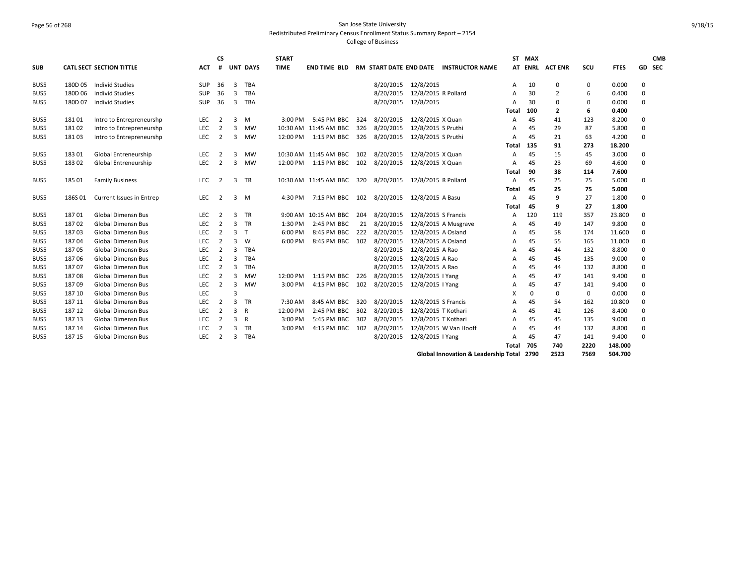# Page 56 of 268 San Jose State University Redistributed Preliminary Census Enrollment Status Summary Report – 2154 College of Business

| <b>SUB</b> |         | <b>CATL SECT SECTION TITTLE</b> | <b>ACT</b> | <b>CS</b><br># |                | <b>UNT DAYS</b> | <b>START</b><br><b>TIME</b> | END TIME BLD          |     | RM START DATE END DATE |                     | <b>INSTRUCTOR NAME</b>                    |              | ST MAX   | AT ENRL ACTENR | SCU         | <b>FTES</b> | GD SEC   | <b>CMB</b> |
|------------|---------|---------------------------------|------------|----------------|----------------|-----------------|-----------------------------|-----------------------|-----|------------------------|---------------------|-------------------------------------------|--------------|----------|----------------|-------------|-------------|----------|------------|
| BUS5       | 180D 05 | <b>Individ Studies</b>          | <b>SUP</b> | 36             | $\overline{3}$ | TBA             |                             |                       |     | 8/20/2015              | 12/8/2015           |                                           | A            | 10       | 0              | 0           | 0.000       | 0        |            |
| BUS5       | 180D06  | <b>Individ Studies</b>          | <b>SUP</b> | 36             | 3              | <b>TBA</b>      |                             |                       |     | 8/20/2015              | 12/8/2015 R Pollard |                                           | A            | 30       | $\overline{2}$ | 6           | 0.400       | $\Omega$ |            |
| BUS5       | 180D07  | <b>Individ Studies</b>          | <b>SUP</b> | 36             | 3              | <b>TBA</b>      |                             |                       |     | 8/20/2015              | 12/8/2015           |                                           | A            | 30       | 0              | $\Omega$    | 0.000       | 0        |            |
|            |         |                                 |            |                |                |                 |                             |                       |     |                        |                     |                                           | Total        | 100      | 2              | 6           | 0.400       |          |            |
| BUS5       | 18101   | Intro to Entrepreneurshp        | <b>LEC</b> | $\overline{2}$ | 3              | M               | 3:00 PM                     | 5:45 PM BBC           | 324 | 8/20/2015              | 12/8/2015 X Quan    |                                           | A            | 45       | 41             | 123         | 8.200       | 0        |            |
| BUS5       | 18102   | Intro to Entrepreneurshp        | <b>LEC</b> | $\overline{2}$ | 3              | <b>MW</b>       |                             | 10:30 AM 11:45 AM BBC | 326 | 8/20/2015              | 12/8/2015 S Pruthi  |                                           | A            | 45       | 29             | 87          | 5.800       | 0        |            |
| BUS5       | 18103   | Intro to Entrepreneurshp        | LEC        | $\overline{2}$ | 3              | <b>MW</b>       | 12:00 PM                    | 1:15 PM BBC           | 326 | 8/20/2015              | 12/8/2015 S Pruthi  |                                           | A            | 45       | 21             | 63          | 4.200       | $\Omega$ |            |
|            |         |                                 |            |                |                |                 |                             |                       |     |                        |                     |                                           | Total        | 135      | 91             | 273         | 18.200      |          |            |
| BUS5       | 18301   | Global Entreneurship            | <b>LEC</b> | $\overline{2}$ | 3              | <b>MW</b>       |                             | 10:30 AM 11:45 AM BBC | 102 | 8/20/2015              | 12/8/2015 X Quan    |                                           | A            | 45       | 15             | 45          | 3.000       | 0        |            |
| BUS5       | 18302   | Global Entreneurship            | LEC        | $\overline{2}$ | $\overline{3}$ | <b>MW</b>       | 12:00 PM                    | 1:15 PM BBC 102       |     | 8/20/2015              | 12/8/2015 X Quan    |                                           | A            | 45       | 23             | 69          | 4.600       | $\Omega$ |            |
|            |         |                                 |            |                |                |                 |                             |                       |     |                        |                     |                                           | Total        | 90       | 38             | 114         | 7.600       |          |            |
| BUS5       | 18501   | <b>Family Business</b>          | LEC        | $\overline{2}$ | 3              | <b>TR</b>       |                             | 10:30 AM 11:45 AM BBC | 320 | 8/20/2015              | 12/8/2015 R Pollard |                                           | $\mathsf{A}$ | 45       | 25             | 75          | 5.000       | 0        |            |
|            |         |                                 |            |                |                |                 |                             |                       |     |                        |                     |                                           | Total        | 45       | 25             | 75          | 5.000       |          |            |
| BUS5       | 186S01  | Current Issues in Entrep        | LEC        | $\overline{2}$ | 3              | M               | 4:30 PM                     | 7:15 PM BBC 102       |     | 8/20/2015              | 12/8/2015 A Basu    |                                           | A            | 45       | 9              | 27          | 1.800       | 0        |            |
|            |         |                                 |            |                |                |                 |                             |                       |     |                        |                     |                                           | Total        | 45       | 9              | 27          | 1.800       |          |            |
| BUS5       | 18701   | <b>Global Dimensn Bus</b>       | LEC.       | $\overline{2}$ | 3              | <b>TR</b>       | 9:00 AM                     | 10:15 AM BBC          | 204 | 8/20/2015              | 12/8/2015 S Francis |                                           | A            | 120      | 119            | 357         | 23.800      | $\Omega$ |            |
| BUS5       | 18702   | <b>Global Dimensn Bus</b>       | <b>LEC</b> | $\overline{2}$ | $\overline{3}$ | <b>TR</b>       | 1:30 PM                     | 2:45 PM BBC           | 21  | 8/20/2015              |                     | 12/8/2015 A Musgrave                      | A            | 45       | 49             | 147         | 9.800       | $\Omega$ |            |
| BUS5       | 18703   | <b>Global Dimensn Bus</b>       | <b>LEC</b> | $\overline{2}$ | 3              | $\mathsf{T}$    | 6:00 PM                     | 8:45 PM BBC           | 222 | 8/20/2015              | 12/8/2015 A Osland  |                                           | A            | 45       | 58             | 174         | 11.600      | $\Omega$ |            |
| BUS5       | 18704   | <b>Global Dimensn Bus</b>       | LEC        | 2              | 3              | W               | 6:00 PM                     | 8:45 PM BBC 102       |     | 8/20/2015              | 12/8/2015 A Osland  |                                           | A            | 45       | 55             | 165         | 11.000      | $\Omega$ |            |
| BUS5       | 18705   | <b>Global Dimensn Bus</b>       | <b>LEC</b> | 2              | 3              | <b>TBA</b>      |                             |                       |     | 8/20/2015              | 12/8/2015 A Rao     |                                           | A            | 45       | 44             | 132         | 8.800       | $\Omega$ |            |
| BUS5       | 18706   | <b>Global Dimensn Bus</b>       | LEC        | $\overline{2}$ | 3              | <b>TBA</b>      |                             |                       |     | 8/20/2015              | 12/8/2015 A Rao     |                                           | A            | 45       | 45             | 135         | 9.000       | $\Omega$ |            |
| BUS5       | 18707   | <b>Global Dimensn Bus</b>       | LEC        | 2              | $\overline{3}$ | <b>TBA</b>      |                             |                       |     | 8/20/2015              | 12/8/2015 A Rao     |                                           | A            | 45       | 44             | 132         | 8.800       | 0        |            |
| BUS5       | 18708   | <b>Global Dimensn Bus</b>       | LEC        | $\overline{2}$ | $\overline{3}$ | <b>MW</b>       | 12:00 PM                    | 1:15 PM BBC 226       |     | 8/20/2015              | 12/8/2015   Yang    |                                           | A            | 45       | 47             | 141         | 9.400       | $\Omega$ |            |
| BUS5       | 18709   | <b>Global Dimensn Bus</b>       | LEC        | $\overline{2}$ | $\overline{3}$ | <b>MW</b>       | 3:00 PM                     | 4:15 PM BBC 102       |     | 8/20/2015              | 12/8/2015   Yang    |                                           | A            | 45       | 47             | 141         | 9.400       | $\Omega$ |            |
| BUS5       | 187 10  | <b>Global Dimensn Bus</b>       | LEC        |                | 3              |                 |                             |                       |     |                        |                     |                                           | X            | $\Omega$ | $\mathbf 0$    | $\mathbf 0$ | 0.000       | $\Omega$ |            |
| BUS5       | 187 11  | <b>Global Dimensn Bus</b>       | LEC        | $\overline{2}$ | $\overline{3}$ | TR              | 7:30 AM                     | 8:45 AM BBC           | 320 | 8/20/2015              | 12/8/2015 S Francis |                                           | A            | 45       | 54             | 162         | 10.800      | 0        |            |
| BUS5       | 187 12  | <b>Global Dimensn Bus</b>       | LEC        | $\overline{2}$ | $\overline{3}$ | R               | 12:00 PM                    | 2:45 PM BBC           | 302 | 8/20/2015              | 12/8/2015 T Kothari |                                           | A            | 45       | 42             | 126         | 8.400       | $\Omega$ |            |
| BUS5       | 187 13  | <b>Global Dimensn Bus</b>       | LEC        | $\overline{2}$ | 3              | R               | 3:00 PM                     | 5:45 PM BBC           | 302 | 8/20/2015              | 12/8/2015 T Kothari |                                           | Α            | 45       | 45             | 135         | 9.000       | 0        |            |
| BUS5       | 187 14  | <b>Global Dimensn Bus</b>       | <b>LEC</b> | $\overline{2}$ | 3              | <b>TR</b>       | 3:00 PM                     | 4:15 PM BBC           | 102 | 8/20/2015              |                     | 12/8/2015 W Van Hooff                     | A            | 45       | 44             | 132         | 8.800       | 0        |            |
| BUS5       | 187 15  | <b>Global Dimensn Bus</b>       | <b>LEC</b> | $\overline{2}$ | 3              | <b>TBA</b>      |                             |                       |     | 8/20/2015              | 12/8/2015   Yang    |                                           | A            | 45       | 47             | 141         | 9.400       | 0        |            |
|            |         |                                 |            |                |                |                 |                             |                       |     |                        |                     |                                           | Total        | 705      | 740            | 2220        | 148.000     |          |            |
|            |         |                                 |            |                |                |                 |                             |                       |     |                        |                     | Global Innovation & Leadership Total 2790 |              |          | 2523           | 7569        | 504.700     |          |            |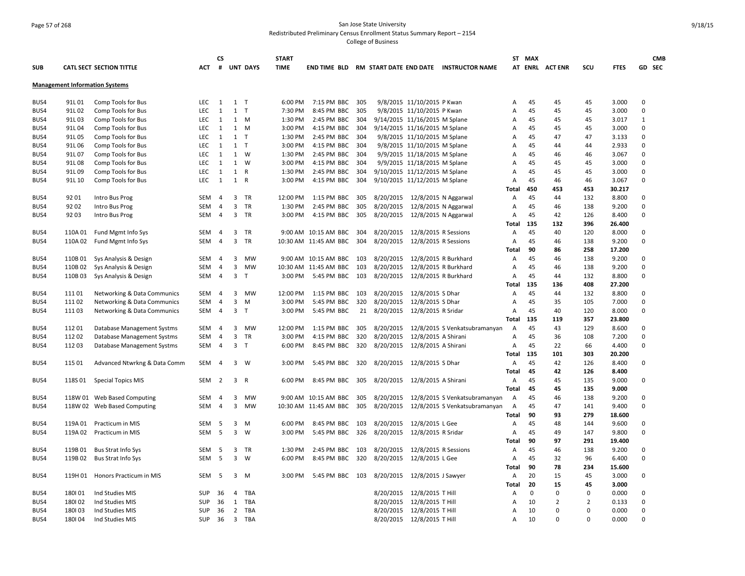# Page 57 of 268 San Jose State University Redistributed Preliminary Census Enrollment Status Summary Report – 2154 College of Business

| <b>SUB</b> |         | <b>CATL SECT SECTION TITTLE</b>       | <b>ACT</b> | <b>CS</b><br># |                | <b>UNT DAYS</b> | <b>START</b><br><b>TIME</b> | END TIME BLD RM START DATE END DATE |     |                               |                                | <b>INSTRUCTOR NAME</b>                  |                   | ST MAX      | AT ENRL ACTENR | SCU      | <b>FTES</b> |              | <b>CMB</b><br>GD SEC |
|------------|---------|---------------------------------------|------------|----------------|----------------|-----------------|-----------------------------|-------------------------------------|-----|-------------------------------|--------------------------------|-----------------------------------------|-------------------|-------------|----------------|----------|-------------|--------------|----------------------|
|            |         |                                       |            |                |                |                 |                             |                                     |     |                               |                                |                                         |                   |             |                |          |             |              |                      |
|            |         | <b>Management Information Systems</b> |            |                |                |                 |                             |                                     |     |                               |                                |                                         |                   |             |                |          |             |              |                      |
| BUS4       | 91L01   | Comp Tools for Bus                    | <b>LEC</b> | 1              | $1$ T          |                 | 6:00 PM                     | 7:15 PM BBC 305                     |     |                               | 9/8/2015 11/10/2015 P Kwan     |                                         | Α                 | 45          | 45             | 45       | 3.000       | $\mathbf{0}$ |                      |
| BUS4       | 91L02   | Comp Tools for Bus                    | <b>LEC</b> | 1              | $\mathbf{1}$   | $\mathsf{T}$    | 7:30 PM                     | 8:45 PM BBC                         | 305 |                               | 9/8/2015 11/10/2015 P Kwan     |                                         | Α                 | 45          | 45             | 45       | 3.000       | $\mathbf 0$  |                      |
| BUS4       | 91L03   | Comp Tools for Bus                    | LEC        | 1              | $\mathbf{1}$   | M               | 1:30 PM                     | 2:45 PM BBC                         | 304 |                               | 9/14/2015 11/16/2015 M Splane  |                                         | Α                 | 45          | 45             | 45       | 3.017       | 1            |                      |
| BUS4       | 91L04   | Comp Tools for Bus                    | LEC        | 1              | $\mathbf{1}$   | M               | 3:00 PM                     | 4:15 PM BBC                         | 304 |                               | 9/14/2015 11/16/2015 M Splane  |                                         | Α                 | 45          | 45             | 45       | 3.000       | $\Omega$     |                      |
| BUS4       | 91L05   | Comp Tools for Bus                    | <b>LEC</b> | 1              | 1              | $\top$          | 1:30 PM                     | 2:45 PM BBC                         | 304 |                               | 9/8/2015 11/10/2015 M Splane   |                                         | Α                 | 45          | 47             | 47       | 3.133       | $\mathbf{0}$ |                      |
| BUS4       | 91L06   | Comp Tools for Bus                    | LEC        | 1              | $1$ T          |                 | 3:00 PM                     | 4:15 PM BBC                         | 304 |                               | 9/8/2015 11/10/2015 M Splane   |                                         | Α                 | 45          | 44             | 44       | 2.933       | $\mathbf 0$  |                      |
| BUS4       | 91L07   | Comp Tools for Bus                    | <b>LEC</b> | 1              |                | 1 W             | 1:30 PM                     | 2:45 PM BBC 304                     |     |                               | 9/9/2015 11/18/2015 M Splane   |                                         | Α                 | 45          | 46             | 46       | 3.067       | $\Omega$     |                      |
| BUS4       | 91L08   | Comp Tools for Bus                    | LEC        | 1              | $\mathbf{1}$   | W               | 3:00 PM                     | 4:15 PM BBC                         | 304 |                               | 9/9/2015 11/18/2015 M Splane   |                                         | Α                 | 45          | 45             | 45       | 3.000       | $\mathbf 0$  |                      |
| BUS4       | 91L09   | Comp Tools for Bus                    | LEC        | 1              | $\mathbf{1}$   | R               | 1:30 PM                     | 2:45 PM BBC                         | 304 |                               | 9/10/2015 11/12/2015 M Splane  |                                         | Α                 | 45          | 45             | 45       | 3.000       | $\Omega$     |                      |
| BUS4       | 91L 10  | Comp Tools for Bus                    | LEC        | 1              | 1              | R               | 3:00 PM                     | 4:15 PM BBC                         | 304 |                               | 9/10/2015 11/12/2015 M Splane  |                                         | Α                 | 45          | 46             | 46       | 3.067       | $\mathbf 0$  |                      |
|            |         |                                       |            |                |                |                 |                             |                                     |     |                               |                                |                                         | <b>Total</b>      | 450         | 453            | 453      | 30.217      |              |                      |
| BUS4       | 92 01   | Intro Bus Prog                        | SEM        | $\overline{4}$ | 3              | <b>TR</b>       | 12:00 PM                    | 1:15 PM BBC                         | 305 |                               | 8/20/2015 12/8/2015 N Aggarwal |                                         | Α                 | 45          | 44             | 132      | 8.800       | $\Omega$     |                      |
| BUS4       | 9202    | Intro Bus Prog                        | SEM        | 4              | 3              | TR              | 1:30 PM                     | 2:45 PM BBC                         | 305 | 8/20/2015                     |                                | 12/8/2015 N Aggarwal                    | Α                 | 45          | 46             | 138      | 9.200       | 0            |                      |
| BUS4       | 9203    | Intro Bus Prog                        | SEM        | $\overline{4}$ | 3              | TR              | 3:00 PM                     | 4:15 PM BBC                         | 305 | 8/20/2015                     |                                | 12/8/2015 N Aggarwal                    | Α                 | 45          | 42             | 126      | 8.400       | 0            |                      |
|            |         |                                       |            |                |                |                 |                             |                                     |     |                               |                                |                                         | Total             | 135         | 132            | 396      | 26.400      |              |                      |
| BUS4       | 110A 01 | Fund Mgmt Info Sys                    | SEM        | 4              | 3              | TR              |                             | 9:00 AM 10:15 AM BBC                | 304 | 8/20/2015                     | 12/8/2015 R Sessions           |                                         | Α                 | 45          | 40             | 120      | 8.000       | $\mathbf{0}$ |                      |
|            | 110A 02 |                                       | SEM        | 4              | 3              | <b>TR</b>       |                             | 10:30 AM 11:45 AM BBC               | 304 | 8/20/2015                     |                                |                                         |                   | 45          | 46             | 138      | 9.200       | $\Omega$     |                      |
| BUS4       |         | Fund Mgmt Info Sys                    |            |                |                |                 |                             |                                     |     |                               | 12/8/2015 R Sessions           |                                         | Α                 |             |                |          |             |              |                      |
|            |         |                                       |            |                |                |                 |                             |                                     |     |                               |                                |                                         | <b>Total</b>      | 90          | 86             | 258      | 17.200      |              |                      |
| BUS4       | 110B 01 | Sys Analysis & Design                 | SEM        | $\overline{4}$ | $\overline{3}$ | <b>MW</b>       |                             | 9:00 AM 10:15 AM BBC                | 103 | 8/20/2015                     |                                | 12/8/2015 R Burkhard                    | Α                 | 45          | 46             | 138      | 9.200       | $\mathbf 0$  |                      |
| BUS4       | 110B 02 | Sys Analysis & Design                 | SEM        | 4              | 3              | <b>MW</b>       | 10:30 AM                    | 11:45 AM BBC                        | 103 | 8/20/2015                     |                                | 12/8/2015 R Burkhard                    | Α                 | 45          | 46             | 138      | 9.200       | 0            |                      |
| BUS4       | 110B03  | Sys Analysis & Design                 | SEM        | 4              | 3              | T               | 3:00 PM                     | 5:45 PM BBC                         | 103 | 8/20/2015                     |                                | 12/8/2015 R Burkhard                    | Α                 | 45          | 44             | 132      | 8.800       | $\mathbf 0$  |                      |
|            |         |                                       |            |                |                |                 |                             |                                     |     |                               |                                |                                         | <b>Total</b>      | 135         | 136            | 408      | 27.200      |              |                      |
| BUS4       | 11101   | Networking & Data Communics           | SEM        | $\overline{4}$ | 3              | <b>MW</b>       | 12:00 PM                    | 1:15 PM BBC                         | 103 |                               | 8/20/2015 12/8/2015 S Dhar     |                                         | Α                 | 45          | 44             | 132      | 8.800       | $\mathbf 0$  |                      |
| BUS4       | 11102   | Networking & Data Communics           | <b>SEM</b> | $\overline{4}$ | $\overline{3}$ | M               | 3:00 PM                     | 5:45 PM BBC                         | 320 | 8/20/2015                     | 12/8/2015 S Dhar               |                                         | A                 | 45          | 35             | 105      | 7.000       | $\Omega$     |                      |
| BUS4       | 11103   | Networking & Data Communics           | SEM        | 4              | 3              | $\mathsf{T}$    | 3:00 PM                     | 5:45 PM BBC                         | 21  | 8/20/2015 12/8/2015 R Sridar  |                                |                                         | Α                 | 45          | 40             | 120      | 8.000       | $\Omega$     |                      |
|            |         |                                       |            |                |                |                 |                             |                                     |     |                               |                                |                                         | Total             | 135         | 119            | 357      | 23.800      |              |                      |
| BUS4       | 11201   | Database Management Systms            | SEM        | 4              | 3              | <b>MW</b>       | 12:00 PM                    | 1:15 PM BBC                         | 305 | 8/20/2015                     |                                | 12/8/2015 S Venkatsubramanyan           | Α                 | 45          | 43             | 129      | 8.600       | $\mathbf 0$  |                      |
| BUS4       | 11202   | Database Management Systms            | SEM        | 4              | 3              | TR              | 3:00 PM                     | 4:15 PM BBC                         | 320 | 8/20/2015                     | 12/8/2015 A Shirani            |                                         | Α                 | 45          | 36             | 108      | 7.200       | 0            |                      |
| BUS4       | 11203   | Database Management Systms            | <b>SEM</b> | $\overline{4}$ | 3              | $\top$          | 6:00 PM                     | 8:45 PM BBC                         | 320 | 8/20/2015                     | 12/8/2015 A Shirani            |                                         | Α                 | 45          | 22             | 66       | 4.400       | $\mathbf 0$  |                      |
|            |         |                                       |            |                |                |                 |                             |                                     |     |                               |                                |                                         | Total             | 135         | 101            | 303      | 20.200      |              |                      |
| BUS4       | 115 01  | Advanced Ntwrkng & Data Comm          | SEM        | $\overline{4}$ |                | $3 \quad W$     | 3:00 PM                     | 5:45 PM BBC                         | 320 | 8/20/2015 12/8/2015 S Dhar    |                                |                                         | Α                 | 45          | 42             | 126      | 8.400       | $\mathbf 0$  |                      |
|            |         |                                       |            |                |                |                 |                             |                                     |     |                               |                                |                                         | Total             | 45          | 42             | 126      | 8.400       |              |                      |
| BUS4       | 118S01  | <b>Special Topics MIS</b>             | SEM        | $\overline{2}$ | 3              | R               | 6:00 PM                     | 8:45 PM BBC                         | 305 | 8/20/2015 12/8/2015 A Shirani |                                |                                         | Α                 | 45          | 45             | 135      | 9.000       | $\mathbf 0$  |                      |
|            |         |                                       |            |                |                |                 |                             |                                     |     |                               |                                |                                         | <b>Total</b>      | 45          | 45             | 135      | 9.000       |              |                      |
| BUS4       |         | 118W 01 Web Based Computing           | SEM        | 4              | 3              | MW              |                             | 9:00 AM 10:15 AM BBC                | 305 |                               |                                | 8/20/2015 12/8/2015 S Venkatsubramanyan | A                 | 45          | 46             | 138      | 9.200       | 0            |                      |
| BUS4       |         | 118W 02 Web Based Computing           | SEM        | $\overline{4}$ | 3              | <b>MW</b>       |                             | 10:30 AM 11:45 AM BBC               | 305 |                               |                                | 8/20/2015 12/8/2015 S Venkatsubramanyan | A                 | 45          | 47             | 141      | 9.400       | 0            |                      |
|            |         |                                       |            |                |                |                 |                             |                                     |     |                               |                                |                                         | <b>Total</b>      | 90          | 93             | 279      | 18.600      |              |                      |
| BUS4       | 119A 01 | Practicum in MIS                      | SEM        | - 5            | 3              | M               | 6:00 PM                     | 8:45 PM BBC                         | 103 |                               | 8/20/2015 12/8/2015 L Gee      |                                         | Α                 | 45          | 48             | 144      | 9.600       | $\mathbf 0$  |                      |
|            | 119A 02 |                                       | <b>SEM</b> | 5              | 3              | W               | 3:00 PM                     | 5:45 PM BBC                         | 326 | 8/20/2015                     | 12/8/2015 R Sridar             |                                         |                   | 45          | 49             | 147      | 9.800       | $\mathbf 0$  |                      |
| BUS4       |         | Practicum in MIS                      |            |                |                |                 |                             |                                     |     |                               |                                |                                         | Α<br><b>Total</b> | 90          | 97             | 291      | 19.400      |              |                      |
|            |         |                                       |            |                |                |                 |                             |                                     |     |                               |                                |                                         |                   |             |                |          |             |              |                      |
| BUS4       | 119B01  | Bus Strat Info Sys                    | SEM        | 5              | 3              | <b>TR</b>       | 1:30 PM                     | 2:45 PM BBC                         | 103 |                               | 8/20/2015 12/8/2015 R Sessions |                                         | Α                 | 45          | 46             | 138      | 9.200       | $\Omega$     |                      |
| BUS4       | 119B 02 | Bus Strat Info Sys                    | <b>SEM</b> | -5             | 3              | W               | 6:00 PM                     | 8:45 PM BBC                         | 320 | 8/20/2015                     | 12/8/2015 L Gee                |                                         | Α                 | 45          | 32             | 96       | 6.400       | 0            |                      |
|            |         |                                       |            |                |                |                 |                             |                                     |     |                               |                                |                                         | Total             | 90          | 78             | 234      | 15.600      |              |                      |
| BUS4       |         | 119H 01 Honors Practicum in MIS       | SEM        | 5              |                | 3 M             | 3:00 PM                     | 5:45 PM BBC 103                     |     | 8/20/2015 12/8/2015 J Sawyer  |                                |                                         | Α                 | 20          | 15             | 45       | 3.000       | $\Omega$     |                      |
|            |         |                                       |            |                |                |                 |                             |                                     |     |                               |                                |                                         | Total             | 20          | 15             | 45       | 3.000       |              |                      |
| BUS4       | 180101  | Ind Studies MIS                       | <b>SUP</b> | 36             | $\overline{4}$ | <b>TBA</b>      |                             |                                     |     |                               | 8/20/2015 12/8/2015 T Hill     |                                         | Α                 | $\mathbf 0$ | 0              | 0        | 0.000       | $\mathbf 0$  |                      |
| BUS4       | 180102  | Ind Studies MIS                       | SUP        | 36             | 1              | TBA             |                             |                                     |     | 8/20/2015                     | 12/8/2015 T Hill               |                                         | Α                 | 10          | 2              | 2        | 0.133       | $\mathbf 0$  |                      |
| BUS4       | 180103  | Ind Studies MIS                       | <b>SUP</b> | 36             |                | 2 TBA           |                             |                                     |     |                               | 8/20/2015 12/8/2015 T Hill     |                                         | Α                 | 10          | $\Omega$       | $\Omega$ | 0.000       | $\Omega$     |                      |
| BUS4       | 180104  | Ind Studies MIS                       | SUP        | 36             | $\overline{3}$ | TBA             |                             |                                     |     |                               | 8/20/2015 12/8/2015 T Hill     |                                         | A                 | 10          | $\Omega$       | $\Omega$ | 0.000       | $\mathbf 0$  |                      |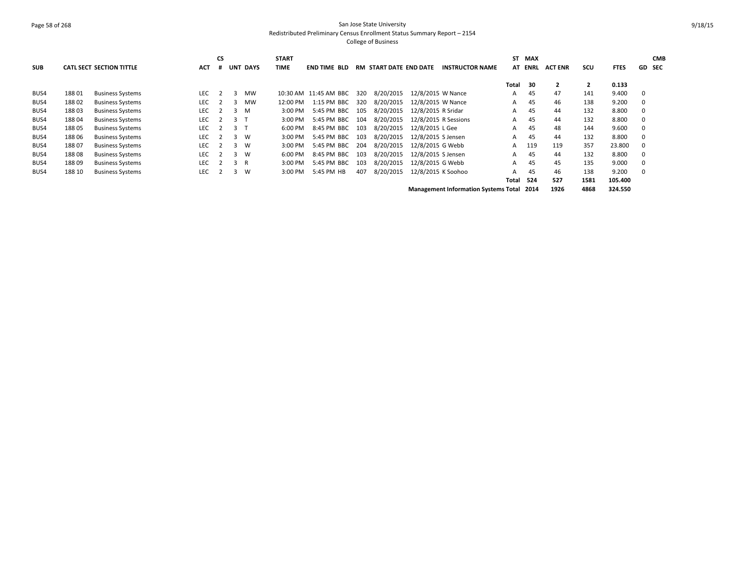# Page 58 of 268 San Jose State University Redistributed Preliminary Census Enrollment Status Summary Report – 2154 College of Business

| <b>SUB</b> |        | <b>CATL SECT SECTION TITTLE</b> | ACT        | <b>CS</b> |              | UNT DAYS  | <b>START</b><br><b>TIME</b> | <b>END TIME BLD</b>   |     | <b>RM START DATE END DATE</b> | <b>INSTRUCTOR NAME</b>                           |       | ST MAX<br>AT ENRL | <b>ACT ENR</b> | scu  | <b>FTES</b> |   | <b>CMB</b><br><b>GD SEC</b> |
|------------|--------|---------------------------------|------------|-----------|--------------|-----------|-----------------------------|-----------------------|-----|-------------------------------|--------------------------------------------------|-------|-------------------|----------------|------|-------------|---|-----------------------------|
|            |        |                                 |            |           |              |           |                             |                       |     |                               |                                                  | Total | - 30              | $\mathbf{2}$   | 2    | 0.133       |   |                             |
| BUS4       | 18801  | <b>Business Systems</b>         | <b>LEC</b> |           |              | <b>MW</b> |                             | 10:30 AM 11:45 AM BBC | 320 | 8/20/2015                     | 12/8/2015 W Nance                                | A     | 45                | 47             | 141  | 9.400       | 0 |                             |
| BUS4       | 18802  | <b>Business Systems</b>         | LEC        |           | 3            | MW        | 12:00 PM                    | 1:15 PM BBC           | 320 | 8/20/2015                     | 12/8/2015 W Nance                                | A     | 45                | 46             | 138  | 9.200       | 0 |                             |
| BUS4       | 18803  | <b>Business Systems</b>         | LEC        |           | 3            | M         | 3:00 PM                     | 5:45 PM BBC           | 105 | 8/20/2015                     | 12/8/2015 R Sridar                               | A     | 45                | 44             | 132  | 8.800       | 0 |                             |
| BUS4       | 18804  | <b>Business Systems</b>         | LEC        |           | 3            |           | 3:00 PM                     | 5:45 PM BBC           | 104 | 8/20/2015                     | 12/8/2015 R Sessions                             | A     | 45                | 44             | 132  | 8.800       | 0 |                             |
| BUS4       | 18805  | <b>Business Systems</b>         | LEC        |           | 3            |           | 6:00 PM                     | 8:45 PM BBC           | 103 | 8/20/2015                     | 12/8/2015 L Gee                                  | A     | 45                | 48             | 144  | 9.600       | 0 |                             |
| BUS4       | 18806  | <b>Business Systems</b>         | <b>LEC</b> |           | 3            | W         | 3:00 PM                     | 5:45 PM BBC           | 103 | 8/20/2015                     | 12/8/2015 S Jensen                               | A     | 45                | 44             | 132  | 8.800       | 0 |                             |
| BUS4       | 18807  | <b>Business Systems</b>         | LEC        |           | 3            | W         | 3:00 PM                     | 5:45 PM BBC           | 204 | 8/20/2015                     | 12/8/2015 G Webb                                 |       | A 119             | 119            | 357  | 23.800      | 0 |                             |
| BUS4       | 18808  | <b>Business Systems</b>         | <b>LEC</b> |           | $\mathbf{3}$ | W         | 6:00 PM                     | 8:45 PM BBC           | 103 | 8/20/2015                     | 12/8/2015 S Jensen                               | A     | 45                | 44             | 132  | 8.800       | 0 |                             |
| BUS4       | 18809  | <b>Business Systems</b>         | <b>LEC</b> |           | 3            | - R       | 3:00 PM                     | 5:45 PM BBC           | 103 | 8/20/2015                     | 12/8/2015 G Webb                                 | A     | 45                | 45             | 135  | 9.000       | 0 |                             |
| BUS4       | 188 10 | <b>Business Systems</b>         | <b>LEC</b> |           | 3            | W         | 3:00 PM                     | 5:45 PM HB            | 407 | 8/20/2015                     | 12/8/2015 K Soohoo                               | A     | 45                | 46             | 138  | 9.200       | 0 |                             |
|            |        |                                 |            |           |              |           |                             |                       |     |                               |                                                  | Total | 524               | 527            | 1581 | 105.400     |   |                             |
|            |        |                                 |            |           |              |           |                             |                       |     |                               | <b>Management Information Systems Total 2014</b> |       |                   | 1926           | 4868 | 324.550     |   |                             |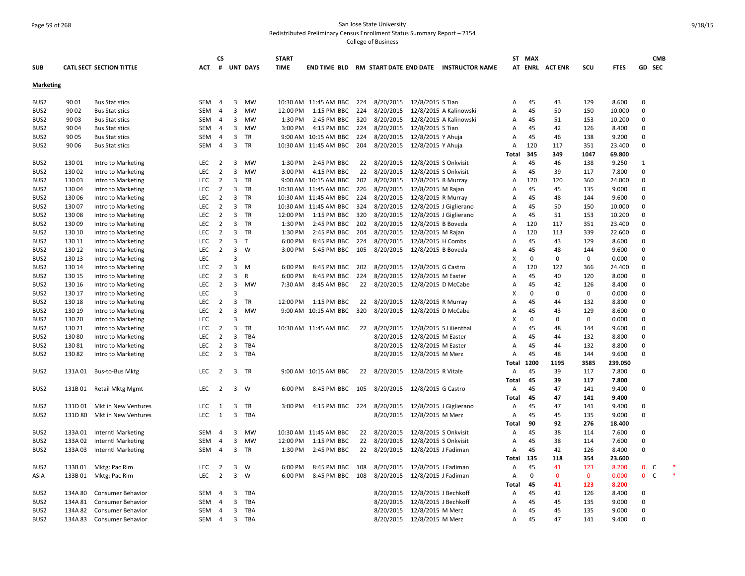# Page 59 of 268 San Jose State University Redistributed Preliminary Census Enrollment Status Summary Report – 2154 College of Business

| <b>SUB</b>       |         | <b>CATL SECT SECTION TITTLE</b> | <b>ACT</b> | CS<br>#        |                | <b>UNT DAYS</b> | <b>START</b><br><b>TIME</b> | <b>END TIME BLD</b>     |       |                               |                      | RM START DATE END DATE INSTRUCTOR NAME |              | ST MAX   | AT ENRL ACTENR | SCU          | <b>FTES</b> | <b>CMB</b><br><b>GD SEC</b> |  |
|------------------|---------|---------------------------------|------------|----------------|----------------|-----------------|-----------------------------|-------------------------|-------|-------------------------------|----------------------|----------------------------------------|--------------|----------|----------------|--------------|-------------|-----------------------------|--|
|                  |         |                                 |            |                |                |                 |                             |                         |       |                               |                      |                                        |              |          |                |              |             |                             |  |
| <b>Marketing</b> |         |                                 |            |                |                |                 |                             |                         |       |                               |                      |                                        |              |          |                |              |             |                             |  |
| BUS <sub>2</sub> | 90 01   | <b>Bus Statistics</b>           | <b>SEM</b> | $\overline{4}$ | 3              | <b>MW</b>       |                             | 10:30 AM  11:45 AM  BBC | 224   | 8/20/2015                     | 12/8/2015 S Tian     |                                        | A            | 45       | 43             | 129          | 8.600       | $\Omega$                    |  |
| BUS2             | 90 02   | <b>Bus Statistics</b>           | <b>SEM</b> | 4              | 3              | <b>MW</b>       | 12:00 PM                    | 1:15 PM BBC             | 224   | 8/20/2015                     |                      | 12/8/2015 A Kalinowski                 | A            | 45       | 50             | 150          | 10.000      | $\pmb{0}$                   |  |
| BUS <sub>2</sub> | 90 03   | <b>Bus Statistics</b>           | <b>SEM</b> | $\overline{4}$ | 3              | <b>MW</b>       | 1:30 PM                     | 2:45 PM BBC             | 320   | 8/20/2015                     |                      | 12/8/2015 A Kalinowski                 | Α            | 45       | 51             | 153          | 10.200      | 0                           |  |
| BUS2             | 90 04   | <b>Bus Statistics</b>           | SEM        | 4              | 3              | <b>MW</b>       | 3:00 PM                     | 4:15 PM BBC             | 224   | 8/20/2015                     | 12/8/2015 S Tian     |                                        | A            | 45       | 42             | 126          | 8.400       | $\Omega$                    |  |
| BUS2             | 90 05   | <b>Bus Statistics</b>           | SEM        | $\overline{4}$ | 3              | TR              |                             | 9:00 AM 10:15 AM BBC    | 224   | 8/20/2015                     | 12/8/2015 Y Ahuja    |                                        | Α            | 45       | 46             | 138          | 9.200       | $\Omega$                    |  |
| BUS <sub>2</sub> | 90 06   | <b>Bus Statistics</b>           | SEM        | 4              | 3              | TR              |                             | 10:30 AM 11:45 AM BBC   | 204   | 8/20/2015                     | 12/8/2015 Y Ahuja    |                                        | Α            | 120      | 117            | 351          | 23.400      | $\mathbf 0$                 |  |
|                  |         |                                 |            |                |                |                 |                             |                         |       |                               |                      |                                        | <b>Total</b> | 345      | 349            | 1047         | 69.800      |                             |  |
| BUS <sub>2</sub> | 13001   | Intro to Marketing              | LEC        | $\overline{2}$ | 3              | <b>MW</b>       | 1:30 PM                     | 2:45 PM BBC             |       | 22 8/20/2015                  | 12/8/2015 S Onkvisit |                                        | A            | 45       | 46             | 138          | 9.250       | 1                           |  |
| BUS <sub>2</sub> | 13002   | Intro to Marketing              | LEC        | $\overline{2}$ | 3              | <b>MW</b>       | 3:00 PM                     | 4:15 PM BBC             | 22    | 8/20/2015                     |                      | 12/8/2015 S Onkvisit                   | A            | 45       | 39             | 117          | 7.800       | $\Omega$                    |  |
| BUS <sub>2</sub> | 13003   | Intro to Marketing              | LEC        | $\overline{2}$ | 3              | TR              | 9:00 AM                     | 10:15 AM BBC            | 202   | 8/20/2015                     | 12/8/2015 R Murray   |                                        | A            | 120      | 120            | 360          | 24.000      | $\mathbf 0$                 |  |
| BUS <sub>2</sub> | 13004   | Intro to Marketing              | LEC        | $\overline{2}$ | 3              | <b>TR</b>       |                             | 10:30 AM 11:45 AM BBC   | 226   | 8/20/2015                     | 12/8/2015 M Rajan    |                                        | Α            | 45       | 45             | 135          | 9.000       | $\Omega$                    |  |
| BUS <sub>2</sub> | 130 06  | Intro to Marketing              | <b>LEC</b> | $\overline{2}$ | $\overline{3}$ | <b>TR</b>       |                             | 10:30 AM 11:45 AM BBC   | 224   | 8/20/2015                     | 12/8/2015 R Murray   |                                        | A            | 45       | 48             | 144          | 9.600       | $\Omega$                    |  |
| BUS <sub>2</sub> | 13007   | Intro to Marketing              | <b>LEC</b> | $\overline{2}$ | $\overline{3}$ | <b>TR</b>       |                             | 10:30 AM 11:45 AM BBC   | 324   | 8/20/2015                     |                      | 12/8/2015 J Giglierano                 | A            | 45       | 50             | 150          | 10.000      | $\Omega$                    |  |
| BUS <sub>2</sub> | 13008   | Intro to Marketing              | LEC        | $\overline{2}$ | 3              | TR              | 12:00 PM                    | 1:15 PM BBC             | 320   | 8/20/2015                     |                      | 12/8/2015 J Giglierano                 | A            | 45       | 51             | 153          | 10.200      | 0                           |  |
| BUS2             | 13009   | Intro to Marketing              | <b>LEC</b> | $\overline{2}$ | 3              | TR              | 1:30 PM                     | 2:45 PM BBC             | 202   | 8/20/2015                     | 12/8/2015 B Boveda   |                                        | A            | 120      | 117            | 351          | 23.400      | $\Omega$                    |  |
| BUS <sub>2</sub> | 130 10  | Intro to Marketing              | <b>LEC</b> | $\overline{2}$ | 3              | <b>TR</b>       | 1:30 PM                     | 2:45 PM BBC             | 204   | 8/20/2015                     | 12/8/2015 M Rajan    |                                        | A            | 120      | 113            | 339          | 22.600      | $\Omega$                    |  |
| BUS <sub>2</sub> | 130 11  | Intro to Marketing              | LEC        | 2              | 3              | $\mathsf{T}$    | 6:00 PM                     | 8:45 PM BBC             | 224   | 8/20/2015                     | 12/8/2015 H Combs    |                                        | A            | 45       | 43             | 129          | 8.600       | $\Omega$                    |  |
| BUS <sub>2</sub> | 130 12  | Intro to Marketing              | LEC        | $\overline{2}$ | 3              | W               | 3:00 PM                     | 5:45 PM BBC             | 105   | 8/20/2015                     | 12/8/2015 B Boveda   |                                        | А            | 45       | 48             | 144          | 9.600       | $\Omega$                    |  |
| BUS2             | 130 13  | Intro to Marketing              | <b>LEC</b> |                | $\overline{3}$ |                 |                             |                         |       |                               |                      |                                        | X            | $\Omega$ | $\Omega$       | $\mathbf 0$  | 0.000       | $\Omega$                    |  |
| BUS <sub>2</sub> | 130 14  | Intro to Marketing              | LEC        | $\overline{2}$ | 3              | M               | 6:00 PM                     | 8:45 PM BBC             | 202   | 8/20/2015                     | 12/8/2015 G Castro   |                                        | A            | 120      | 122            | 366          | 24.400      | $\Omega$                    |  |
| BUS <sub>2</sub> | 130 15  | Intro to Marketing              | LEC        | $\overline{2}$ | 3              | R               | 6:00 PM                     | 8:45 PM BBC             | 224   | 8/20/2015                     | 12/8/2015 M Easter   |                                        | A            | 45       | 40             | 120          | 8.000       | $\mathbf 0$                 |  |
| BUS <sub>2</sub> | 130 16  | Intro to Marketing              | <b>LEC</b> | $\overline{2}$ | $\overline{3}$ | <b>MW</b>       | 7:30 AM                     | 8:45 AM BBC             | 22    | 8/20/2015                     | 12/8/2015 D McCabe   |                                        | A            | 45       | 42             | 126          | 8.400       | $\Omega$                    |  |
| BUS <sub>2</sub> | 130 17  | Intro to Marketing              | LEC        |                | $\overline{3}$ |                 |                             |                         |       |                               |                      |                                        | X            | $\Omega$ | $\Omega$       | $\mathbf 0$  | 0.000       | $\Omega$                    |  |
| BUS2             | 130 18  | Intro to Marketing              | LEC        | $\overline{2}$ | 3              | <b>TR</b>       | 12:00 PM                    | 1:15 PM BBC             | 22    | 8/20/2015                     | 12/8/2015 R Murray   |                                        | A            | 45       | 44             | 132          | 8.800       | $\Omega$                    |  |
| BUS <sub>2</sub> | 130 19  | Intro to Marketing              | LEC        | $\overline{2}$ | 3              | <b>MW</b>       |                             | 9:00 AM 10:15 AM BBC    | 320   | 8/20/2015                     | 12/8/2015 D McCabe   |                                        | A            | 45       | 43             | 129          | 8.600       | $\Omega$                    |  |
| BUS2             | 130 20  | Intro to Marketing              | <b>LEC</b> |                | 3              |                 |                             |                         |       |                               |                      |                                        | х            | $\Omega$ | $\Omega$       | $\mathbf 0$  | 0.000       | $\Omega$                    |  |
| BUS <sub>2</sub> | 130 21  | Intro to Marketing              | LEC        | 2              | 3              | TR              |                             | 10:30 AM 11:45 AM BBC   | 22    | 8/20/2015                     |                      | 12/8/2015 S Lilienthal                 | A            | 45       | 48             | 144          | 9.600       | $\Omega$                    |  |
| BUS <sub>2</sub> | 130 80  | Intro to Marketing              | <b>LEC</b> | 2              | 3              | TBA             |                             |                         |       | 8/20/2015                     | 12/8/2015 M Easter   |                                        | A            | 45       | 44             | 132          | 8.800       | $\Omega$                    |  |
| BUS <sub>2</sub> | 13081   | Intro to Marketing              | <b>LEC</b> | $\overline{2}$ | 3              | <b>TBA</b>      |                             |                         |       | 8/20/2015                     | 12/8/2015 M Easter   |                                        | A            | 45       | 44             | 132          | 8.800       | $\Omega$                    |  |
| BUS <sub>2</sub> | 13082   | Intro to Marketing              | <b>LEC</b> | $\overline{2}$ | 3              | TBA             |                             |                         |       | 8/20/2015                     | 12/8/2015 M Merz     |                                        | A            | 45       | 48             | 144          | 9.600       | $\Omega$                    |  |
|                  |         |                                 |            |                |                |                 |                             |                         |       |                               |                      |                                        | Total        | 1200     | 1195           | 3585         | 239.050     |                             |  |
| BUS <sub>2</sub> | 131A 01 | <b>Bus-to-Bus Mktg</b>          | LEC        | $\overline{2}$ |                | 3 TR            |                             | 9:00 AM 10:15 AM BBC    | 22    | 8/20/2015  12/8/2015 R Vitale |                      |                                        | Α            | 45       | 39             | 117          | 7.800       | $\Omega$                    |  |
|                  |         |                                 |            |                |                |                 |                             |                         |       |                               |                      |                                        | Total        | 45       | 39             | 117          | 7.800       |                             |  |
| BUS2             | 131B01  | <b>Retail Mktg Mgmt</b>         | <b>LEC</b> | $\overline{2}$ | 3              | W               | 6:00 PM                     | 8:45 PM BBC             | - 105 | 8/20/2015 12/8/2015 G Castro  |                      |                                        | A            | 45       | 47             | 141          | 9.400       | 0                           |  |
|                  |         |                                 |            |                |                |                 |                             |                         |       |                               |                      |                                        | <b>Total</b> | 45       | 47             | 141          | 9.400       |                             |  |
| BUS2             | 131D 01 | Mkt in New Ventures             | LEC        | 1              | 3              | TR              | $3:00$ PM                   | 4:15 PM BBC 224         |       | 8/20/2015                     |                      | 12/8/2015 J Giglierano                 | Α            | 45       | 47             | 141          | 9.400       | $\Omega$                    |  |
| BUS <sub>2</sub> | 131D 80 | Mkt in New Ventures             | LEC        | 1              | 3              | <b>TBA</b>      |                             |                         |       | 8/20/2015                     | 12/8/2015 M Merz     |                                        | Α            | 45       | 45             | 135          | 9.000       | $\Omega$                    |  |
|                  |         |                                 |            |                |                |                 |                             |                         |       |                               |                      |                                        | Total        | 90       | 92             | 276          | 18.400      |                             |  |
| BUS <sub>2</sub> | 133A01  | <b>Interntl Marketing</b>       | SEM        | 4              | 3              | <b>MW</b>       |                             | 10:30 AM 11:45 AM BBC   | 22    | 8/20/2015                     |                      | 12/8/2015 S Onkvisit                   | A            | 45       | 38             | 114          | 7.600       | 0                           |  |
| BUS2             | 133A 02 | <b>Interntl Marketing</b>       | <b>SEM</b> | $\overline{4}$ | $\overline{3}$ | <b>MW</b>       | 12:00 PM                    | 1:15 PM BBC             | 22    | 8/20/2015                     |                      | 12/8/2015 S Onkvisit                   | A            | 45       | 38             | 114          | 7.600       | $\Omega$                    |  |
| BUS <sub>2</sub> | 133A03  | Interntl Marketing              | SEM        | 4              | 3              | TR              | 1:30 PM                     | 2:45 PM BBC             |       | 22 8/20/2015                  | 12/8/2015 J Fadiman  |                                        | Α            | 45       | 42             | 126          | 8.400       | $\Omega$                    |  |
|                  |         |                                 |            |                |                |                 |                             |                         |       |                               |                      |                                        | <b>Total</b> | 135      | 118            | 354          | 23.600      |                             |  |
| BUS <sub>2</sub> | 133B01  | Mktg: Pac Rim                   | LEC        | $\overline{2}$ | 3              | W               | 6:00 PM                     | 8:45 PM BBC             | 108   | 8/20/2015                     |                      | 12/8/2015 J Fadiman                    | Α            | 45       | 41             | 123          | 8.200       | 0<br>C                      |  |
| ASIA             | 133B01  | Mktg: Pac Rim                   | <b>LEC</b> | $\overline{2}$ | $\overline{3}$ | W               | 6:00 PM                     | 8:45 PM BBC             | 108   | 8/20/2015                     | 12/8/2015 J Fadiman  |                                        | A            | $\Omega$ | $\mathbf{0}$   | $\mathbf{0}$ | 0.000       | $\overline{0}$<br>C         |  |
|                  |         |                                 |            |                |                |                 |                             |                         |       |                               |                      |                                        | Total        | 45       | 41             | 123          | 8.200       |                             |  |
| BUS <sub>2</sub> | 134A 80 | <b>Consumer Behavior</b>        | SEM        | $\overline{4}$ | 3              | TBA             |                             |                         |       | 8/20/2015                     |                      | 12/8/2015 J Bechkoff                   | Α            | 45       | 42             | 126          | 8.400       | 0                           |  |
| BUS <sub>2</sub> | 134A 81 | <b>Consumer Behavior</b>        | SEM        | 4              | 3              | TBA             |                             |                         |       | 8/20/2015                     |                      | 12/8/2015 J Bechkoff                   | A            | 45       | 45             | 135          | 9.000       | $\Omega$                    |  |
| BUS <sub>2</sub> | 134A 82 | <b>Consumer Behavior</b>        | SEM        | 4              | 3              | TBA             |                             |                         |       | 8/20/2015                     | 12/8/2015 M Merz     |                                        | A            | 45       | 45             | 135          | 9.000       | $\Omega$                    |  |
| BUS2             | 134A 83 | <b>Consumer Behavior</b>        | SEM        | $\overline{4}$ |                | 3 TBA           |                             |                         |       | 8/20/2015                     | 12/8/2015 M Merz     |                                        | A            | 45       | 47             | 141          | 9.400       | $\Omega$                    |  |
|                  |         |                                 |            |                |                |                 |                             |                         |       |                               |                      |                                        |              |          |                |              |             |                             |  |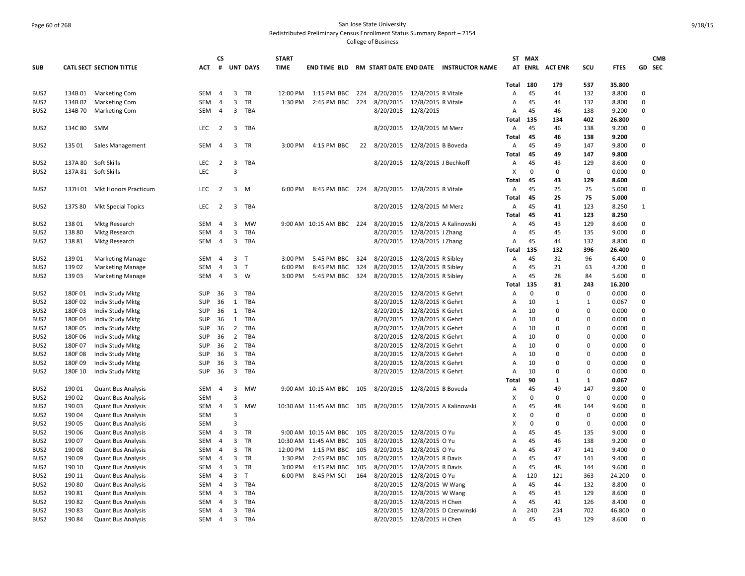# Page 60 of 268 San Jose State University Redistributed Preliminary Census Enrollment Status Summary Report – 2154 College of Business

|                                      |                  |                                                        |                   | <b>CS</b>           |                                  |                   | <b>START</b> |                                                            |     |                                           |                                        |                                                     |            | ST MAX      |                |              |                 |              | <b>CMB</b> |
|--------------------------------------|------------------|--------------------------------------------------------|-------------------|---------------------|----------------------------------|-------------------|--------------|------------------------------------------------------------|-----|-------------------------------------------|----------------------------------------|-----------------------------------------------------|------------|-------------|----------------|--------------|-----------------|--------------|------------|
| <b>SUB</b>                           |                  | <b>CATL SECT SECTION TITTLE</b>                        | АСТ               | #                   |                                  | <b>UNT DAYS</b>   | <b>TIME</b>  |                                                            |     |                                           |                                        | END TIME BLD RM START DATE END DATE INSTRUCTOR NAME |            |             | AT ENRL ACTENR | scu          | <b>FTES</b>     | GD SEC       |            |
|                                      |                  |                                                        |                   |                     |                                  |                   |              |                                                            |     |                                           |                                        |                                                     | Total      | 180         | 179            | 537          |                 |              |            |
| BUS <sub>2</sub>                     | 134B01           | <b>Marketing Com</b>                                   | SEM               | 4                   | 3                                | TR                | 12:00 PM     | 1:15 PM BBC                                                | 224 | 8/20/2015 12/8/2015 R Vitale              |                                        |                                                     | Α          | 45          | 44             | 132          | 35.800<br>8.800 | 0            |            |
| BUS <sub>2</sub>                     | 134B02           | <b>Marketing Com</b>                                   | SEM               | $\overline{4}$      | 3                                | TR                | 1:30 PM      | 2:45 PM BBC                                                | 224 | 8/20/2015                                 | 12/8/2015 R Vitale                     |                                                     | Α          | 45          | 44             | 132          | 8.800           | 0            |            |
| BUS <sub>2</sub>                     | 134B 70          | <b>Marketing Com</b>                                   | SEM               | $\overline{4}$      | $\overline{3}$                   | TBA               |              |                                                            |     | 8/20/2015 12/8/2015                       |                                        |                                                     | Α          | 45          | 46             | 138          | 9.200           | 0            |            |
|                                      |                  |                                                        |                   |                     |                                  |                   |              |                                                            |     |                                           |                                        |                                                     | Total      | 135         | 134            | 402          | 26.800          |              |            |
| BUS <sub>2</sub>                     | 134C 80          | SMM                                                    | LEC               | $\overline{2}$      | 3                                | TBA               |              |                                                            |     | 8/20/2015 12/8/2015 M Merz                |                                        |                                                     | Α          | 45          | 46             | 138          | 9.200           | 0            |            |
|                                      |                  |                                                        |                   |                     |                                  |                   |              |                                                            |     |                                           |                                        |                                                     | Total      | 45          | 46             | 138          | 9.200           |              |            |
| BUS <sub>2</sub>                     | 135 01           | Sales Management                                       | SEM               | 4                   | $\overline{3}$                   | TR                | 3:00 PM      | 4:15 PM BBC                                                | 22  | 8/20/2015 12/8/2015 B Boveda              |                                        |                                                     | Α          | 45          | 49             | 147          | 9.800           | 0            |            |
|                                      |                  |                                                        |                   |                     |                                  |                   |              |                                                            |     |                                           |                                        |                                                     | Total      | 45          | 49             | 147          | 9.800           |              |            |
| BUS2                                 | 137A 80          | Soft Skills                                            | LEC               | $\overline{2}$      | 3                                | TBA               |              |                                                            |     | 8/20/2015 12/8/2015 J Bechkoff            |                                        |                                                     | Α          | 45          | 43             | 129          | 8.600           | 0            |            |
| BUS <sub>2</sub>                     |                  | 137A 81 Soft Skills                                    | <b>LEC</b>        |                     | 3                                |                   |              |                                                            |     |                                           |                                        |                                                     | X          | $\mathbf 0$ | 0              | $\mathbf 0$  | 0.000           | 0            |            |
|                                      |                  |                                                        |                   |                     |                                  |                   |              |                                                            |     |                                           |                                        |                                                     | Total      | 45          | 43             | 129          | 8.600           |              |            |
| BUS2                                 |                  | 137H 01 Mkt Honors Practicum                           | <b>LEC</b>        | $\overline{2}$      | $\overline{3}$                   | M                 | 6:00 PM      | 8:45 PM BBC 224                                            |     | 8/20/2015 12/8/2015 R Vitale              |                                        |                                                     | A          | 45          | 25             | 75           | 5.000           | 0            |            |
|                                      |                  |                                                        |                   |                     |                                  |                   |              |                                                            |     |                                           |                                        |                                                     | Total      | 45          | 25             | 75           | 5.000           |              |            |
| BUS <sub>2</sub>                     | 137S 80          | <b>Mkt Special Topics</b>                              | LEC               | $\overline{2}$      | 3                                | TBA               |              |                                                            |     | 8/20/2015 12/8/2015 M Merz                |                                        |                                                     | Α          | 45          | 41             | 123          | 8.250           | $\mathbf{1}$ |            |
|                                      |                  |                                                        |                   |                     |                                  |                   |              |                                                            |     |                                           |                                        |                                                     | Total      | 45          | 41             | 123          | 8.250           |              |            |
| BUS <sub>2</sub>                     | 13801            | <b>Mktg Research</b>                                   | SEM               | $\overline{4}$      | 3                                | <b>MW</b>         |              | 9:00 AM 10:15 AM BBC 224                                   |     |                                           |                                        | 8/20/2015 12/8/2015 A Kalinowski                    | Α          | 45          | 43             | 129          | 8.600           | 0            |            |
| BUS <sub>2</sub>                     | 13880            | <b>Mktg Research</b>                                   | <b>SEM</b>        | 4                   | 3                                | <b>TBA</b>        |              |                                                            |     | 8/20/2015                                 | 12/8/2015 J Zhang                      |                                                     | Α          | 45          | 45             | 135          | 9.000           | 0            |            |
| BUS <sub>2</sub>                     | 13881            | <b>Mktg Research</b>                                   | SEM               | $\overline{4}$      | 3                                | <b>TBA</b>        |              |                                                            |     | 8/20/2015 12/8/2015 J Zhang               |                                        |                                                     | Α          | 45          | 44             | 132          | 8.800           | 0            |            |
|                                      |                  |                                                        |                   |                     |                                  |                   |              |                                                            |     |                                           |                                        |                                                     |            | 135         | 132            | 396          | 26.400          |              |            |
|                                      |                  |                                                        |                   |                     | $\overline{3}$                   | $\mathsf{T}$      |              |                                                            | 324 |                                           |                                        |                                                     | Total      | 45          |                |              |                 | 0            |            |
| BUS <sub>2</sub>                     | 13901            | <b>Marketing Manage</b>                                | SEM               | $\overline{4}$<br>4 | 3                                | T                 | 3:00 PM      | 5:45 PM BBC                                                |     | 8/20/2015 12/8/2015 R Sibley<br>8/20/2015 | 12/8/2015 R Sibley                     |                                                     | Α<br>A     | 45          | 32<br>21       | 96           | 6.400           | 0            |            |
| BUS2                                 | 13902            | <b>Marketing Manage</b>                                | SEM               |                     | 3                                | W                 | 6:00 PM      | 8:45 PM BBC                                                | 324 |                                           |                                        |                                                     |            | 45          |                | 63<br>84     | 4.200           |              |            |
| BUS <sub>2</sub>                     | 13903            | <b>Marketing Manage</b>                                | SEM               | $\overline{4}$      |                                  |                   | 3:00 PM      | 5:45 PM BBC                                                | 324 | 8/20/2015                                 | 12/8/2015 R Sibley                     |                                                     | Α          | 135         | 28             |              | 5.600           | 0            |            |
| BUS <sub>2</sub>                     | 180F01           | Indiv Study Mktg                                       | <b>SUP</b>        | 36                  | 3                                | TBA               |              |                                                            |     | 8/20/2015 12/8/2015 K Gehrt               |                                        |                                                     | Total<br>A | $\mathbf 0$ | 81<br>$\Omega$ | 243<br>0     | 16.200<br>0.000 | 0            |            |
| BUS <sub>2</sub>                     | 180F02           |                                                        | <b>SUP</b>        | 36                  | $\mathbf{1}$                     | TBA               |              |                                                            |     | 8/20/2015                                 | 12/8/2015 K Gehrt                      |                                                     | Α          | 10          | $\mathbf{1}$   | $\mathbf{1}$ | 0.067           | 0            |            |
|                                      |                  | Indiv Study Mktg                                       |                   |                     |                                  |                   |              |                                                            |     |                                           |                                        |                                                     |            | 10          | $\Omega$       | $\mathbf 0$  |                 |              |            |
| BUS2                                 | 180F03           | Indiv Study Mktg                                       | SUP               | 36                  | $\mathbf{1}$<br>1                | TBA<br><b>TBA</b> |              |                                                            |     | 8/20/2015<br>8/20/2015                    | 12/8/2015 K Gehrt<br>12/8/2015 K Gehrt |                                                     | Α          |             | $\Omega$       | $\mathbf 0$  | 0.000           | 0<br>0       |            |
| BUS2                                 | 180F04           | Indiv Study Mktg                                       | SUP               | 36                  |                                  | <b>TBA</b>        |              |                                                            |     |                                           |                                        |                                                     | Α          | 10<br>10    | $\Omega$       | $\Omega$     | 0.000           | 0            |            |
| BUS <sub>2</sub><br>BUS <sub>2</sub> | 180F05<br>180F06 | Indiv Study Mktg                                       | SUP<br><b>SUP</b> | 36<br>36            | $\overline{2}$<br>$\overline{2}$ | TBA               |              |                                                            |     | 8/20/2015 12/8/2015 K Gehrt<br>8/20/2015  | 12/8/2015 K Gehrt                      |                                                     | Α<br>Α     | 10          | $\Omega$       | 0            | 0.000<br>0.000  | 0            |            |
| BUS2                                 | 180F07           | Indiv Study Mktg                                       | SUP               | 36                  | $\overline{2}$                   | <b>TBA</b>        |              |                                                            |     | 8/20/2015                                 | 12/8/2015 K Gehrt                      |                                                     |            | 10          | $\mathbf 0$    | $\mathbf 0$  | 0.000           | 0            |            |
| BUS <sub>2</sub>                     | 180F08           | Indiv Study Mktg                                       | <b>SUP</b>        | 36                  | 3                                | <b>TBA</b>        |              |                                                            |     | 8/20/2015                                 | 12/8/2015 K Gehrt                      |                                                     | Α<br>A     | 10          | $\Omega$       | $\Omega$     | 0.000           | 0            |            |
| BUS <sub>2</sub>                     | 180F09           | Indiv Study Mktg<br>Indiv Study Mktg                   | SUP               | 36                  | 3                                | <b>TBA</b>        |              |                                                            |     | 8/20/2015                                 | 12/8/2015 K Gehrt                      |                                                     | Α          | 10          | $\Omega$       | 0            | 0.000           | 0            |            |
| BUS <sub>2</sub>                     | 180F 10          |                                                        | <b>SUP</b>        | 36                  | $\overline{3}$                   | <b>TBA</b>        |              |                                                            |     | 8/20/2015                                 | 12/8/2015 K Gehrt                      |                                                     | A          | 10          | $\Omega$       | $\Omega$     | 0.000           | 0            |            |
|                                      |                  | Indiv Study Mktg                                       |                   |                     |                                  |                   |              |                                                            |     |                                           |                                        |                                                     | Total      | 90          | 1              | 1            | 0.067           |              |            |
| BUS <sub>2</sub>                     | 19001            | <b>Quant Bus Analysis</b>                              | SEM               | $\overline{4}$      | 3                                | MW                |              | 9:00 AM 10:15 AM BBC 105                                   |     | 8/20/2015                                 | 12/8/2015 B Boveda                     |                                                     | Α          | 45          | 49             | 147          | 9.800           | 0            |            |
| BUS <sub>2</sub>                     | 190 02           | <b>Quant Bus Analysis</b>                              | <b>SEM</b>        |                     | 3                                |                   |              |                                                            |     |                                           |                                        |                                                     | х          | $\mathbf 0$ | $\mathbf 0$    | 0            | 0.000           | 0            |            |
| BUS <sub>2</sub>                     | 190 03           | <b>Quant Bus Analysis</b>                              | SEM               | $\overline{4}$      | 3                                | <b>MW</b>         |              | 10:30 AM 11:45 AM BBC 105 8/20/2015 12/8/2015 A Kalinowski |     |                                           |                                        |                                                     | A          | 45          | 48             | 144          | 9.600           | 0            |            |
| BUS <sub>2</sub>                     | 19004            | <b>Quant Bus Analysis</b>                              | <b>SEM</b>        |                     | 3                                |                   |              |                                                            |     |                                           |                                        |                                                     | X          | $\mathbf 0$ | 0              | 0            | 0.000           | 0            |            |
| BUS2                                 |                  |                                                        | SEM               |                     | 3                                |                   |              |                                                            |     |                                           |                                        |                                                     | X          | $\mathbf 0$ | $\Omega$       | 0            | 0.000           | 0            |            |
| BUS <sub>2</sub>                     | 19005<br>190 06  | <b>Quant Bus Analysis</b><br><b>Quant Bus Analysis</b> | <b>SEM</b>        | $\overline{4}$      | $\overline{3}$                   | TR                |              | 9:00 AM 10:15 AM BBC                                       | 105 | 8/20/2015 12/8/2015 O Yu                  |                                        |                                                     | A          | 45          | 45             | 135          | 9.000           | $\mathbf 0$  |            |
| BUS2                                 | 19007            | <b>Quant Bus Analysis</b>                              | SEM               | $\overline{4}$      | $\overline{3}$                   | TR                |              | 10:30 AM 11:45 AM BBC                                      | 105 | 8/20/2015                                 | 12/8/2015 O Yu                         |                                                     | A          | 45          | 46             | 138          | 9.200           | 0            |            |
| BUS2                                 | 19008            | <b>Quant Bus Analysis</b>                              | SEM               | 4                   | 3                                | TR                | 12:00 PM     | 1:15 PM BBC                                                | 105 | 8/20/2015                                 | 12/8/2015 O Yu                         |                                                     | Α          | 45          | 47             | 141          | 9.400           | 0            |            |
| BUS2                                 | 19009            | <b>Quant Bus Analysis</b>                              | SEM               | $\overline{4}$      | 3                                | TR                | 1:30 PM      | 2:45 PM BBC                                                | 105 | 8/20/2015                                 | 12/8/2015 R Davis                      |                                                     | Α          | 45          | 47             | 141          | 9.400           | 0            |            |
| BUS2                                 |                  |                                                        | SEM               | $\overline{4}$      | 3                                | TR                | 3:00 PM      | 4:15 PM BBC                                                | 105 | 8/20/2015                                 | 12/8/2015 R Davis                      |                                                     |            | 45          | 48             | 144          | 9.600           | 0            |            |
| BUS <sub>2</sub>                     | 190 10<br>190 11 | <b>Quant Bus Analysis</b>                              | SEM               | $\overline{4}$      | 3                                | T                 | 6:00 PM      | 8:45 PM SCI                                                | 164 | 8/20/2015 12/8/2015 O Yu                  |                                        |                                                     | Α<br>A     | 120         | 121            | 363          | 24.200          | $\mathbf 0$  |            |
| BUS2                                 | 190 80           | <b>Quant Bus Analysis</b><br><b>Quant Bus Analysis</b> | SEM               |                     | 3                                | TBA               |              |                                                            |     | 8/20/2015                                 | 12/8/2015 W Wang                       |                                                     |            | 45          | 44             | 132          | 8.800           | 0            |            |
|                                      |                  |                                                        | SEM               | 4<br>$\overline{4}$ | 3                                | <b>TBA</b>        |              |                                                            |     |                                           |                                        |                                                     | Α<br>A     | 45          | 43             |              |                 | 0            |            |
| BUS <sub>2</sub>                     | 19081            | <b>Quant Bus Analysis</b>                              |                   |                     | 3                                |                   |              |                                                            |     | 8/20/2015                                 | 12/8/2015 W Wang                       |                                                     |            | 45          | 42             | 129          | 8.600           | 0            |            |
| BUS2<br>BUS <sub>2</sub>             | 19082<br>19083   | <b>Quant Bus Analysis</b><br><b>Quant Bus Analysis</b> | SEM<br>SEM        | 4<br>$\overline{4}$ | 3                                | TBA<br><b>TBA</b> |              |                                                            |     | 8/20/2015                                 | 12/8/2015 H Chen                       | 8/20/2015 12/8/2015 D Czerwinski                    | Α<br>Α     | 240         | 234            | 126<br>702   | 8.400<br>46.800 | 0            |            |
| BUS2                                 | 190 84           |                                                        | SEM               |                     | 3                                | <b>TBA</b>        |              |                                                            |     | 8/20/2015 12/8/2015 H Chen                |                                        |                                                     |            | 45          | 43             | 129          | 8.600           | $\Omega$     |            |
|                                      |                  | <b>Quant Bus Analysis</b>                              |                   | $\overline{4}$      |                                  |                   |              |                                                            |     |                                           |                                        |                                                     | A          |             |                |              |                 |              |            |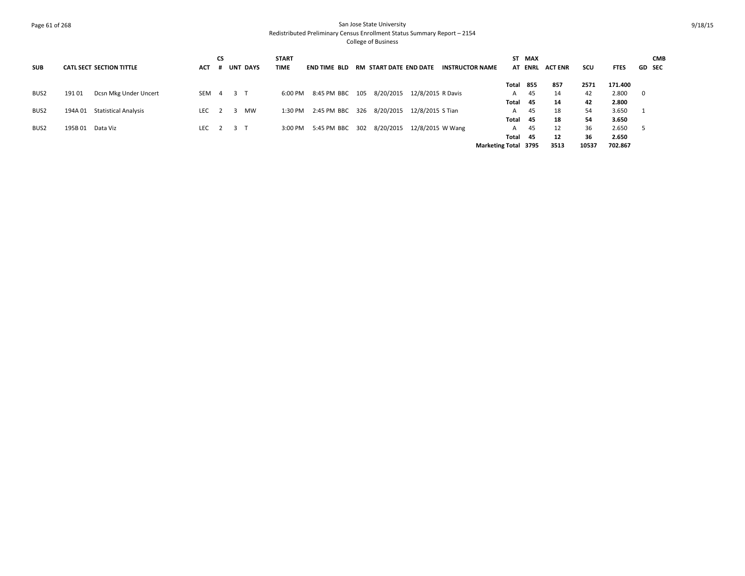# Page 61 of 268 San Jose State University Redistributed Preliminary Census Enrollment Status Summary Report – 2154 College of Business

| <b>SUB</b>       |        | <b>CATL SECT SECTION TITTLE</b> | <b>ACT</b> | <b>CS</b> |                | <b>UNT DAYS</b> | <b>START</b><br><b>TIME</b> | <b>END TIME BLD</b>       | RM START DATE END DATE |                   | <b>INSTRUCTOR NAME</b> |                             | ST MAX<br><b>AT ENRL</b> | <b>ACT ENR</b> | scu   | <b>FTES</b> |              | <b>CMB</b><br><b>GD SEC</b> |
|------------------|--------|---------------------------------|------------|-----------|----------------|-----------------|-----------------------------|---------------------------|------------------------|-------------------|------------------------|-----------------------------|--------------------------|----------------|-------|-------------|--------------|-----------------------------|
|                  |        |                                 |            |           |                |                 |                             |                           |                        |                   |                        |                             | Total 855                | 857            | 2571  | 171.400     |              |                             |
| BUS2             | 191 01 | Dcsn Mkg Under Uncert           | SEM        | 4         | 3 <sub>1</sub> |                 | 6:00 PM                     | 8:45 PM BBC 105           | 8/20/2015              | 12/8/2015 R Davis |                        | A                           | 45                       | 14             | 42    | 2.800       | $\mathbf{0}$ |                             |
|                  |        |                                 |            |           |                |                 |                             |                           |                        |                   |                        | Total                       | - 45                     | 14             | 42    | 2.800       |              |                             |
| BUS <sub>2</sub> |        | 194A 01 Statistical Analysis    | LEC        |           |                | <b>MW</b>       | 1:30 PM                     | 2:45 PM BBC 326 8/20/2015 |                        | 12/8/2015 S Tian  |                        | A                           | 45                       | 18             | 54    | 3.650       |              |                             |
|                  |        |                                 |            |           |                |                 |                             |                           |                        |                   |                        | Total 45                    |                          | 18             | 54    | 3.650       |              |                             |
| BUS2             | 195B01 | Data Viz                        | LEC 2      |           | 3 T            |                 | 3:00 PM                     | 5:45 PM BBC 302           | 8/20/2015              | 12/8/2015 W Wang  |                        | A                           | 45                       | 12             | 36    | 2.650       | - 5          |                             |
|                  |        |                                 |            |           |                |                 |                             |                           |                        |                   |                        | Total                       | - 45                     | 12             | 36    | 2.650       |              |                             |
|                  |        |                                 |            |           |                |                 |                             |                           |                        |                   |                        | <b>Marketing Total 3795</b> |                          | 3513           | 10537 | 702.867     |              |                             |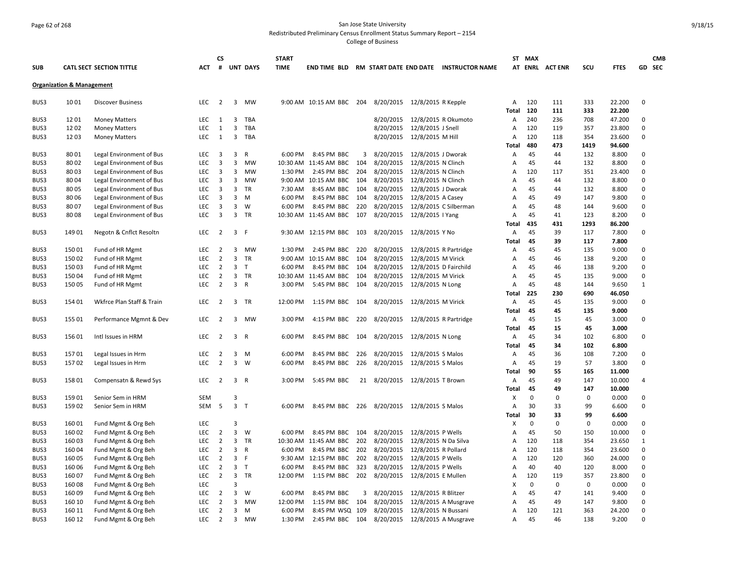# Page 62 of 268 San Jose State University Redistributed Preliminary Census Enrollment Status Summary Report – 2154

College of Business

|              |                                      |                                                      |                          | <b>CS</b>      |                |                 | <b>START</b>       |                                                       |     |                                           |                                         |                                                     |              | ST MAX      |                |             |                |                  | <b>CMB</b> |
|--------------|--------------------------------------|------------------------------------------------------|--------------------------|----------------|----------------|-----------------|--------------------|-------------------------------------------------------|-----|-------------------------------------------|-----------------------------------------|-----------------------------------------------------|--------------|-------------|----------------|-------------|----------------|------------------|------------|
| <b>SUB</b>   |                                      | <b>CATL SECT SECTION TITTLE</b>                      | ACT                      | #              |                | <b>UNT DAYS</b> | <b>TIME</b>        |                                                       |     |                                           |                                         | END TIME BLD RM START DATE END DATE INSTRUCTOR NAME |              |             | AT ENRL ACTENR | SCU         | <b>FTES</b>    |                  | GD SEC     |
|              | <b>Organization &amp; Management</b> |                                                      |                          |                |                |                 |                    |                                                       |     |                                           |                                         |                                                     |              |             |                |             |                |                  |            |
| BUS3         | 1001                                 | <b>Discover Business</b>                             | <b>LEC</b>               | $\overline{2}$ | 3              | MW              |                    | 9:00 AM 10:15 AM BBC 204 8/20/2015 12/8/2015 R Kepple |     |                                           |                                         |                                                     | A            | 120         | 111            | 333         | 22.200         | 0                |            |
|              |                                      |                                                      |                          |                |                |                 |                    |                                                       |     |                                           |                                         |                                                     | Total        | 120         | 111            | 333         | 22.200         |                  |            |
| BUS3         | 1201                                 | <b>Money Matters</b>                                 | LEC                      | 1              | 3              | <b>TBA</b>      |                    |                                                       |     | 8/20/2015 12/8/2015 R Okumoto             |                                         |                                                     | Α            | 240         | 236            | 708         | 47.200         | 0                |            |
| BUS3         | 1202                                 | <b>Money Matters</b>                                 | <b>LEC</b>               | 1              | 3              | <b>TBA</b>      |                    |                                                       |     | 8/20/2015 12/8/2015 J Snell               |                                         |                                                     | Α            | 120         | 119            | 357         | 23.800         | 0                |            |
| BUS3         | 1203                                 | <b>Money Matters</b>                                 | <b>LEC</b>               | 1              | $\overline{3}$ | TBA             |                    |                                                       |     | 8/20/2015 12/8/2015 M Hill                |                                         |                                                     | A            | 120         | 118            | 354         | 23.600         | $\mathbf 0$      |            |
|              |                                      |                                                      |                          |                |                |                 |                    |                                                       |     |                                           |                                         |                                                     | <b>Total</b> | 480         | 473            | 1419        | 94.600         |                  |            |
| BUS3         | 8001                                 | Legal Environment of Bus                             | <b>LEC</b>               | 3              | 3              | R               | 6:00 PM            | 8:45 PM BBC                                           | 3   | 8/20/2015                                 | 12/8/2015 J Dworak                      |                                                     | А            | 45          | 44             | 132         | 8.800          | 0                |            |
| BUS3         | 8002                                 | Legal Environment of Bus                             | <b>LEC</b>               | 3              | 3              | <b>MW</b>       |                    | 10:30 AM 11:45 AM BBC                                 | 104 | 8/20/2015                                 | 12/8/2015 N Clinch                      |                                                     | Α            | 45          | 44             | 132         | 8.800          | 0                |            |
| BUS3         | 8003                                 | Legal Environment of Bus                             | <b>LEC</b>               | 3              | 3              | MW              | 1:30 PM            | 2:45 PM BBC                                           | 204 | 8/20/2015                                 | 12/8/2015 N Clinch                      |                                                     | Α            | 120         | 117            | 351         | 23.400         | 0<br>$\mathbf 0$ |            |
| BUS3         | 8004                                 | Legal Environment of Bus                             | <b>LEC</b>               | 3              | 3<br>3         | <b>MW</b>       |                    | 9:00 AM 10:15 AM BBC 104                              | 104 | 8/20/2015 12/8/2015 N Clinch<br>8/20/2015 |                                         |                                                     | A            | 45<br>45    | 44             | 132<br>132  | 8.800<br>8.800 | 0                |            |
| BUS3<br>BUS3 | 8005<br>8006                         | Legal Environment of Bus<br>Legal Environment of Bus | <b>LEC</b><br><b>LEC</b> | 3<br>3         | 3              | TR<br>M         | 7:30 AM<br>6:00 PM | 8:45 AM BBC<br>8:45 PM BBC                            | 104 | 8/20/2015                                 | 12/8/2015 J Dworak<br>12/8/2015 A Casey |                                                     | Α<br>A       | 45          | 44<br>49       | 147         | 9.800          | $\mathbf 0$      |            |
| BUS3         | 8007                                 | Legal Environment of Bus                             | LEC                      | 3              | 3              | W               | 6:00 PM            | 8:45 PM BBC                                           | 220 | 8/20/2015                                 |                                         | 12/8/2015 C Silberman                               | Α            | 45          | 48             | 144         | 9.600          | $\mathbf 0$      |            |
| BUS3         | 8008                                 | Legal Environment of Bus                             | LEC                      | 3              | 3              | <b>TR</b>       |                    | 10:30 AM 11:45 AM BBC                                 | 107 | 8/20/2015                                 | 12/8/2015   Yang                        |                                                     | Α            | 45          | 41             | 123         | 8.200          | $\mathbf 0$      |            |
|              |                                      |                                                      |                          |                |                |                 |                    |                                                       |     |                                           |                                         |                                                     | Total        | 435         | 431            | 1293        | 86.200         |                  |            |
| BUS3         | 14901                                | Negotn & Cnflct Resoltn                              | LEC                      | $\overline{2}$ | 3              | - F             |                    | 9:30 AM 12:15 PM BBC                                  | 103 | 8/20/2015 12/8/2015 Y No                  |                                         |                                                     | A            | 45          | 39             | 117         | 7.800          | 0                |            |
|              |                                      |                                                      |                          |                |                |                 |                    |                                                       |     |                                           |                                         |                                                     | Total        | 45          | 39             | 117         | 7.800          |                  |            |
| BUS3         | 15001                                | Fund of HR Mgmt                                      | <b>LEC</b>               | $\overline{2}$ | 3              | MW              | 1:30 PM            | 2:45 PM BBC                                           | 220 | 8/20/2015 12/8/2015 R Partridge           |                                         |                                                     | Α            | 45          | 45             | 135         | 9.000          | 0                |            |
| BUS3         | 15002                                | Fund of HR Mgmt                                      | LEC                      | $\overline{2}$ | 3              | TR              | $9:00 \text{ AM}$  | 10:15 AM BBC                                          | 104 | 8/20/2015                                 | 12/8/2015 M Virick                      |                                                     | Α            | 45          | 46             | 138         | 9.200          | 0                |            |
| BUS3         | 15003                                | Fund of HR Mgmt                                      | <b>LEC</b>               | $\overline{2}$ | 3              | $\top$          | 6:00 PM            | 8:45 PM BBC                                           | 104 | 8/20/2015                                 | 12/8/2015 D Fairchild                   |                                                     | Α            | 45          | 46             | 138         | 9.200          | $\mathbf 0$      |            |
| BUS3         | 15004                                | Fund of HR Mgmt                                      | <b>LEC</b>               | $\overline{2}$ | 3              | TR              |                    | 10:30 AM 11:45 AM BBC                                 | 104 | 8/20/2015                                 | 12/8/2015 M Virick                      |                                                     | Α            | 45          | 45             | 135         | 9.000          | 0                |            |
| BUS3         | 15005                                | Fund of HR Mgmt                                      | LEC                      | $\overline{2}$ | 3              | $\mathsf{R}$    | 3:00 PM            | 5:45 PM BBC                                           | 104 | 8/20/2015                                 | 12/8/2015 N Long                        |                                                     | Α            | 45          | 48             | 144         | 9.650          | $\mathbf{1}$     |            |
|              |                                      |                                                      |                          |                |                |                 |                    |                                                       |     |                                           |                                         |                                                     | Total        | 225         | 230            | 690         | 46.050         |                  |            |
| BUS3         | 154 01                               | Wkfrce Plan Staff & Train                            | LEC                      | $\overline{2}$ |                | 3 TR            | 12:00 PM           | 1:15 PM BBC                                           | 104 | 8/20/2015 12/8/2015 M Virick              |                                         |                                                     | Α            | 45          | 45             | 135         | 9.000          | 0                |            |
|              |                                      |                                                      |                          |                |                |                 |                    |                                                       |     |                                           |                                         |                                                     | Total        | 45          | 45             | 135         | 9.000          |                  |            |
| BUS3         | 155 01                               | Performance Mgmnt & Dev                              | LEC                      | $\overline{2}$ | 3              | MW              | 3:00 PM            | 4:15 PM BBC                                           | 220 | 8/20/2015 12/8/2015 R Partridge           |                                         |                                                     | A            | 45          | 15             | 45          | 3.000          | 0                |            |
|              |                                      |                                                      |                          |                |                |                 |                    |                                                       |     |                                           |                                         |                                                     | Total        | 45          | 15             | 45          | 3.000          |                  |            |
| BUS3         | 15601                                | Intl Issues in HRM                                   | <b>LEC</b>               | $\overline{2}$ | 3 R            |                 | 6:00 PM            | 8:45 PM BBC                                           | 104 | 8/20/2015 12/8/2015 N Long                |                                         |                                                     | Α            | 45          | 34             | 102         | 6.800          | 0                |            |
|              |                                      |                                                      |                          |                |                |                 |                    |                                                       |     |                                           |                                         |                                                     | Total        | 45          | 34             | 102         | 6.800          |                  |            |
| BUS3         | 15701                                | Legal Issues in Hrm                                  | <b>LEC</b>               | 2              | 3              | M               | 6:00 PM            | 8:45 PM BBC                                           | 226 | 8/20/2015 12/8/2015 S Malos               |                                         |                                                     | Α            | 45          | 36             | 108         | 7.200          | $\mathbf 0$      |            |
| BUS3         | 15702                                | Legal Issues in Hrm                                  | LEC                      | $\overline{2}$ | 3              | W               | 6:00 PM            | 8:45 PM BBC                                           | 226 | 8/20/2015 12/8/2015 S Malos               |                                         |                                                     | A            | 45          | 19             | 57          | 3.800          | $\mathbf 0$      |            |
|              |                                      |                                                      |                          |                |                |                 |                    |                                                       |     |                                           |                                         |                                                     | Total        | 90          | 55             | 165         | 11.000         |                  |            |
| BUS3         | 158 01                               | Compensatn & Rewd Sys                                | <b>LEC</b>               | $\overline{2}$ | 3              | $\mathsf{R}$    | 3:00 PM            | 5:45 PM BBC                                           |     | 21 8/20/2015 12/8/2015 T Brown            |                                         |                                                     | Α            | 45          | 49             | 147         | 10.000         | 4                |            |
|              |                                      |                                                      |                          |                |                |                 |                    |                                                       |     |                                           |                                         |                                                     | <b>Total</b> | 45          | 49             | 147         | 10.000         |                  |            |
| BUS3         | 15901                                | Senior Sem in HRM                                    | <b>SEM</b>               |                | $\overline{3}$ |                 |                    |                                                       |     |                                           |                                         |                                                     | X            | $\mathbf 0$ | $\mathbf 0$    | $\Omega$    | 0.000          | 0                |            |
| BUS3         | 15902                                | Senior Sem in HRM                                    | SEM                      | 5              | 3              | $\top$          | 6:00 PM            | 8:45 PM BBC 226 8/20/2015 12/8/2015 S Malos           |     |                                           |                                         |                                                     | Α            | 30<br>30    | 33<br>33       | 99<br>99    | 6.600          | 0                |            |
| BUS3         | 16001                                |                                                      | LEC                      |                | $\overline{3}$ |                 |                    |                                                       |     |                                           |                                         |                                                     | Total<br>X   | $\Omega$    | $\mathbf 0$    | 0           | 6.600<br>0.000 | $\mathbf 0$      |            |
| BUS3         | 16002                                | Fund Mgmt & Org Beh<br>Fund Mgmt & Org Beh           | LEC                      | $\overline{2}$ | $\overline{3}$ | W               | 6:00 PM            | 8:45 PM BBC                                           | 104 | 8/20/2015 12/8/2015 P Wells               |                                         |                                                     | A            | 45          | 50             | 150         | 10.000         | $\mathbf 0$      |            |
| BUS3         | 16003                                | Fund Mgmt & Org Beh                                  | <b>LEC</b>               | $\overline{2}$ | 3              | <b>TR</b>       |                    | 10:30 AM 11:45 AM BBC                                 | 202 | 8/20/2015                                 | 12/8/2015 N Da Silva                    |                                                     | Α            | 120         | 118            | 354         | 23.650         | $\mathbf{1}$     |            |
| BUS3         | 16004                                | Fund Mgmt & Org Beh                                  | <b>LEC</b>               | 2              | 3              | R               | 6:00 PM            | 8:45 PM BBC                                           | 202 | 8/20/2015                                 | 12/8/2015 R Pollard                     |                                                     | A            | 120         | 118            | 354         | 23.600         | 0                |            |
| BUS3         | 160 05                               | Fund Mgmt & Org Beh                                  | LEC                      | $\overline{2}$ | 3              | F               |                    | 9:30 AM 12:15 PM BBC                                  | 202 | 8/20/2015                                 | 12/8/2015 P Wells                       |                                                     | Α            | 120         | 120            | 360         | 24.000         | 0                |            |
| BUS3         | 160 06                               | Fund Mgmt & Org Beh                                  | <b>LEC</b>               | $\overline{2}$ | $\overline{3}$ | $\mathsf{T}$    | 6:00 PM            | 8:45 PM BBC                                           | 323 | 8/20/2015                                 | 12/8/2015 P Wells                       |                                                     | A            | 40          | 40             | 120         | 8.000          | 0                |            |
| BUS3         | 16007                                | Fund Mgmt & Org Beh                                  | LEC                      | $\overline{2}$ | 3              | TR              | 12:00 PM           | 1:15 PM BBC 202                                       |     | 8/20/2015                                 | 12/8/2015 E Mullen                      |                                                     | Α            | 120         | 119            | 357         | 23.800         | 0                |            |
| BUS3         | 16008                                | Fund Mgmt & Org Beh                                  | <b>LEC</b>               |                | $\overline{3}$ |                 |                    |                                                       |     |                                           |                                         |                                                     | X            | $\mathbf 0$ | $\mathbf 0$    | $\mathbf 0$ | 0.000          | $\mathbf 0$      |            |
| BUS3         | 16009                                | Fund Mgmt & Org Beh                                  | <b>LEC</b>               | $\overline{2}$ | 3              | W               | 6:00 PM            | 8:45 PM BBC                                           | 3   | 8/20/2015                                 | 12/8/2015 R Blitzer                     |                                                     | Α            | 45          | 47             | 141         | 9.400          | 0                |            |
| BUS3         | 160 10                               | Fund Mgmt & Org Beh                                  | <b>LEC</b>               | $\overline{2}$ | $\overline{3}$ | <b>MW</b>       | 12:00 PM           | 1:15 PM BBC                                           | 104 | 8/20/2015                                 |                                         | 12/8/2015 A Musgrave                                | A            | 45          | 49             | 147         | 9.800          | 0                |            |
| BUS3         | 160 11                               | Fund Mgmt & Org Beh                                  | LEC                      | $\overline{2}$ | 3              | M               | 6:00 PM            | 8:45 PM WSQ 109                                       |     | 8/20/2015                                 | 12/8/2015 N Bussani                     |                                                     | Α            | 120         | 121            | 363         | 24.200         | 0                |            |
| BUS3         | 160 12                               | Fund Mgmt & Org Beh                                  | <b>LEC</b>               | $\overline{2}$ | $\overline{3}$ | <b>MW</b>       | 1:30 PM            | 2:45 PM BBC                                           | 104 | 8/20/2015                                 |                                         | 12/8/2015 A Musgrave                                | A            | 45          | 46             | 138         | 9.200          | $\mathbf 0$      |            |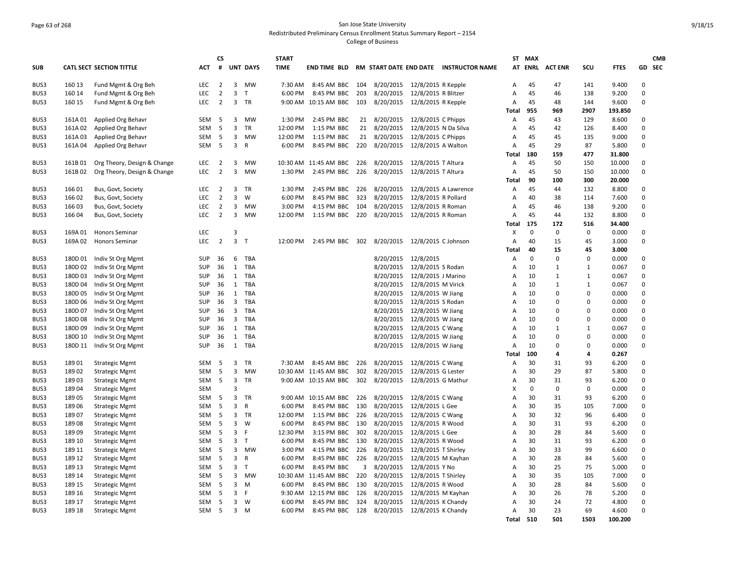# Page 63 of 268 San Jose State University Redistributed Preliminary Census Enrollment Status Summary Report – 2154 College of Business

| <b>SUB</b>   |                 | <b>CATL SECT SECTION TITTLE</b>                | <b>ACT</b> | <b>CS</b><br># |                     | <b>UNT DAYS</b> | <b>START</b><br><b>TIME</b> |                            |            |                               |                                     | END TIME BLD RM START DATE END DATE INSTRUCTOR NAME |                   | ST MAX<br><b>AT ENRL</b> | <b>ACT ENR</b> | SCU            | <b>FTES</b>      | <b>CMB</b><br>GD SEC    |
|--------------|-----------------|------------------------------------------------|------------|----------------|---------------------|-----------------|-----------------------------|----------------------------|------------|-------------------------------|-------------------------------------|-----------------------------------------------------|-------------------|--------------------------|----------------|----------------|------------------|-------------------------|
|              |                 |                                                |            |                |                     |                 |                             |                            |            |                               |                                     |                                                     |                   |                          |                |                |                  |                         |
| BUS3         | 160 13          | Fund Mgmt & Org Beh                            | LEC        | $\overline{2}$ | 3                   | <b>MW</b>       | 7:30 AM                     | 8:45 AM BBC 104            |            | 8/20/2015 12/8/2015 R Kepple  |                                     |                                                     | Α                 | 45                       | 47             | 141            | 9.400            | $\Omega$                |
| BUS3         | 160 14          | Fund Mgmt & Org Beh                            | <b>LEC</b> | $\overline{2}$ | 3                   | $\mathsf{T}$    | 6:00 PM                     | 8:45 PM BBC                | 203        | 8/20/2015                     | 12/8/2015 R Blitzer                 |                                                     | Α                 | 45                       | 46             | 138            | 9.200            | $\mathbf 0$             |
| BUS3         | 160 15          | Fund Mgmt & Org Beh                            | <b>LEC</b> | $\overline{2}$ | $\overline{3}$      | TR              |                             | 9:00 AM 10:15 AM BBC       | 103        | 8/20/2015                     | 12/8/2015 R Kepple                  |                                                     | Α<br><b>Total</b> | 45<br>955                | 48<br>969      | 144<br>2907    | 9.600<br>193.850 | $\Omega$                |
| BUS3         | 161A 01         | Applied Org Behavr                             | SEM        | -5             | 3                   | <b>MW</b>       | 1:30 PM                     | 2:45 PM BBC                | 21         | 8/20/2015                     | 12/8/2015 C Phipps                  |                                                     | Α                 | 45                       | 43             | 129            | 8.600            | $\Omega$                |
| BUS3         | 161A02          | Applied Org Behavr                             | SEM        | 5              | 3                   | <b>TR</b>       | 12:00 PM                    | 1:15 PM BBC                | 21         | 8/20/2015                     | 12/8/2015 N Da Silva                |                                                     | Α                 | 45                       | 42             | 126            | 8.400            | $\Omega$                |
| BUS3         | 161A03          | Applied Org Behavr                             | SEM        | 5              | 3                   | <b>MW</b>       | 12:00 PM                    | 1:15 PM BBC                | 21         | 8/20/2015                     | 12/8/2015 C Phipps                  |                                                     | Α                 | 45                       | 45             | 135            | 9.000            | $\Omega$                |
| BUS3         | 161A04          | Applied Org Behavr                             | SEM        | 5              | 3                   | $\mathsf{R}$    | 6:00 PM                     | 8:45 PM BBC 220            |            | 8/20/2015                     | 12/8/2015 A Walton                  |                                                     | Α                 | 45                       | 29             | 87             | 5.800            | $\Omega$                |
|              |                 |                                                |            |                |                     |                 |                             |                            |            |                               |                                     |                                                     | Total             | 180                      | 159            | 477            | 31.800           |                         |
| BUS3         | 161B01          | Org Theory, Design & Change                    | LEC        | $\overline{2}$ | 3                   | <b>MW</b>       |                             | 10:30 AM 11:45 AM BBC      | 226        | 8/20/2015                     | 12/8/2015 T Altura                  |                                                     | Α                 | 45                       | 50             | 150            | 10.000           | $\Omega$                |
| BUS3         | 161B02          | Org Theory, Design & Change                    | <b>LEC</b> | $\overline{2}$ | $\overline{3}$      | <b>MW</b>       | 1:30 PM                     | 2:45 PM BBC                | 226        | 8/20/2015                     | 12/8/2015 T Altura                  |                                                     | Α                 | 45                       | 50             | 150            | 10.000           | $\Omega$                |
|              |                 |                                                |            |                |                     |                 |                             |                            |            |                               |                                     |                                                     | <b>Total</b>      | 90                       | 100            | 300            | 20.000           |                         |
| BUS3         | 16601           | Bus, Govt, Society                             | <b>LEC</b> | $\overline{2}$ | 3                   | <b>TR</b>       | 1:30 PM                     | 2:45 PM BBC                | 226        | 8/20/2015                     |                                     | 12/8/2015 A Lawrence                                | A                 | 45                       | 44             | 132            | 8.800            | $\Omega$                |
| BUS3         | 166 02          | Bus, Govt, Society                             | LEC        | $\overline{2}$ | 3                   | W               | 6:00 PM                     | 8:45 PM BBC                | 323        | 8/20/2015                     | 12/8/2015 R Pollard                 |                                                     | Α                 | 40                       | 38             | 114            | 7.600            | $\Omega$                |
| BUS3         | 16603           | Bus, Govt, Society                             | <b>LEC</b> | $\overline{2}$ | $\overline{3}$      | <b>MW</b>       | 3:00 PM                     | 4:15 PM BBC                | 104        | 8/20/2015                     | 12/8/2015 R Roman                   |                                                     | A                 | 45                       | 46             | 138            | 9.200            | $\Omega$                |
| BUS3         | 16604           | Bus, Govt, Society                             | <b>LEC</b> | $\overline{2}$ | $\mathbf{3}$        | <b>MW</b>       | 12:00 PM                    | 1:15 PM BBC                | 220        | 8/20/2015                     | 12/8/2015 R Roman                   |                                                     | Α                 | 45                       | 44             | 132            | 8.800            | $\Omega$                |
|              |                 |                                                |            |                |                     |                 |                             |                            |            |                               |                                     |                                                     | <b>Total</b>      | 175                      | 172            | 516            | 34.400           |                         |
| BUS3         | 169A 01         | <b>Honors Seminar</b>                          | <b>LEC</b> |                | 3                   |                 |                             |                            |            |                               |                                     |                                                     | X                 | $\mathbf 0$              | $\mathbf 0$    | 0              | 0.000            | $\Omega$                |
| BUS3         | 169A02          | <b>Honors Seminar</b>                          | <b>LEC</b> | $\overline{2}$ | $\mathbf{3}$        | $\mathsf{T}$    | 12:00 PM                    | 2:45 PM BBC 302            |            | 8/20/2015 12/8/2015 C Johnson |                                     |                                                     | Α                 | 40                       | 15             | 45             | 3.000            | $\Omega$                |
|              |                 |                                                |            |                |                     |                 |                             |                            |            |                               |                                     |                                                     | Total             | 40                       | 15             | 45             | 3.000            |                         |
| BUS3         | 180D 01         | Indiv St Org Mgmt                              | <b>SUP</b> | 36             | 6                   | TBA             |                             |                            |            | 8/20/2015 12/8/2015           |                                     |                                                     | Α                 | $\mathbf 0$              | $\Omega$       | $\Omega$       | 0.000            | $\Omega$                |
| BUS3         | 180D 02         | Indiv St Org Mgmt                              | <b>SUP</b> | 36             | 1                   | TBA             |                             |                            |            | 8/20/2015                     | 12/8/2015 S Rodan                   |                                                     | Α                 | 10                       | 1              | 1              | 0.067            | $\Omega$                |
| BUS3         | 180D03          | Indiv St Org Mgmt                              | <b>SUP</b> | 36             | 1                   | TBA             |                             |                            |            | 8/20/2015                     | 12/8/2015 J Marino                  |                                                     | Α                 | 10                       | $\mathbf{1}$   | $\mathbf{1}$   | 0.067            | $\Omega$                |
| BUS3         | 180D04          | Indiv St Org Mgmt                              | SUP        | 36             | 1                   | TBA             |                             |                            |            | 8/20/2015                     | 12/8/2015 M Virick                  |                                                     | Α                 | 10                       | 1              | 1              | 0.067            | $\Omega$                |
| BUS3         | 180D 05         | Indiv St Org Mgmt                              | <b>SUP</b> | 36             | 1                   | TBA             |                             |                            |            | 8/20/2015                     | 12/8/2015 W Jiang                   |                                                     | Α                 | 10                       | 0              | $\overline{0}$ | 0.000            | $\mathbf 0$             |
| BUS3         | 180D 06         | Indiv St Org Mgmt                              | <b>SUP</b> | 36             | 3                   | <b>TBA</b>      |                             |                            |            | 8/20/2015                     | 12/8/2015 S Rodan                   |                                                     | Α                 | 10                       | $\Omega$       | $\mathbf 0$    | 0.000            | $\Omega$                |
| BUS3         | 180D 07         | Indiv St Org Mgmt                              | SUP        | 36             | 3                   | <b>TBA</b>      |                             |                            |            | 8/20/2015                     | 12/8/2015 W Jiang                   |                                                     | Α                 | 10                       | $\mathbf 0$    | $\overline{0}$ | 0.000            | $\mathbf 0$             |
| BUS3         | 180D08          | Indiv St Org Mgmt                              | SUP        | 36             | 3                   | TBA             |                             |                            |            | 8/20/2015                     | 12/8/2015 W Jiang                   |                                                     | Α                 | 10                       | $\Omega$       | $\Omega$       | 0.000            | $\Omega$                |
| BUS3         | 180D09          | Indiv St Org Mgmt                              | <b>SUP</b> | 36             | $\mathbf{1}$        | <b>TBA</b>      |                             |                            |            | 8/20/2015                     | 12/8/2015 C Wang                    |                                                     | Α                 | 10                       | $\mathbf{1}$   | $\mathbf{1}$   | 0.067            | $\Omega$                |
| BUS3         | 180D 10         | Indiv St Org Mgmt                              | <b>SUP</b> | 36             | 1                   | TBA             |                             |                            |            | 8/20/2015                     | 12/8/2015 W Jiang                   |                                                     | Α                 | 10                       | $\mathbf 0$    | $\mathbf 0$    | 0.000            | $\Omega$                |
| BUS3         | 180D 11         | Indiv St Org Mgmt                              | SUP        | 36             | $\mathbf{1}$        | <b>TBA</b>      |                             |                            |            | 8/20/2015                     | 12/8/2015 W Jiang                   |                                                     | Α                 | 10                       | $\mathbf 0$    | $\overline{0}$ | 0.000            | $\mathbf 0$             |
|              |                 |                                                |            |                |                     |                 |                             |                            |            |                               |                                     |                                                     | Total             | 100                      | 4              | $\overline{a}$ | 0.267            |                         |
| BUS3         | 18901           | <b>Strategic Mgmt</b>                          | SEM        | 5              | 3                   | <b>TR</b>       |                             | 7:30 AM 8:45 AM BBC 226    |            | 8/20/2015                     | 12/8/2015 C Wang                    |                                                     | Α                 | 30                       | 31             | 93             | 6.200            | $\Omega$                |
| BUS3         | 18902           | <b>Strategic Mgmt</b>                          | <b>SEM</b> | 5              | 3                   | <b>MW</b>       |                             | 10:30 AM 11:45 AM BBC      | 302        | 8/20/2015                     | 12/8/2015 G Lester                  |                                                     | A                 | 30                       | 29             | 87             | 5.800            | $\Omega$                |
| BUS3         | 18903           | <b>Strategic Mgmt</b>                          | SEM        | 5              | 3<br>$\overline{3}$ | TR              |                             | 9:00 AM 10:15 AM BBC 302   |            | 8/20/2015                     | 12/8/2015 G Mathur                  |                                                     | Α                 | 30<br>$\Omega$           | 31<br>$\Omega$ | 93             | 6.200            | $\mathbf 0$<br>$\Omega$ |
| BUS3         | 18904           | <b>Strategic Mgmt</b>                          | <b>SEM</b> |                | $\mathbf{3}$        |                 |                             |                            |            |                               |                                     |                                                     | X                 | 30                       | 31             | $\mathbf 0$    | 0.000            | $\Omega$                |
| BUS3         | 18905           | <b>Strategic Mgmt</b>                          | SEM        | 5              |                     | TR              |                             | 9:00 AM 10:15 AM BBC 226   |            | 8/20/2015                     | 12/8/2015 C Wang                    |                                                     | Α                 |                          |                | 93             | 6.200            | $\Omega$                |
| BUS3         | 18906           | <b>Strategic Mgmt</b>                          | SEM        | 5              | 3                   | $\mathsf R$     | 6:00 PM                     | 8:45 PM BBC                | 130        | 8/20/2015<br>8/20/2015        | 12/8/2015 L Gee                     |                                                     | Α                 | 30<br>30                 | 35<br>32       | 105            | 7.000<br>6.400   | $\mathbf 0$             |
| BUS3         | 18907           | <b>Strategic Mgmt</b>                          | SEM        | 5              | 3<br>3              | TR<br>W         | 12:00 PM                    | 1:15 PM BBC                | 226        |                               | 12/8/2015 C Wang                    |                                                     | А                 | 30                       | 31             | 96             | 6.200            | $\Omega$                |
| BUS3         | 18908           | <b>Strategic Mgmt</b>                          | SEM        | 5<br>5         | 3                   | F               | 6:00 PM                     | 8:45 PM BBC                | 130<br>302 | 8/20/2015<br>8/20/2015        | 12/8/2015 R Wood                    |                                                     | Α                 | 30                       | 28             | 93<br>84       |                  | $\Omega$                |
| BUS3<br>BUS3 | 18909<br>189 10 | <b>Strategic Mgmt</b><br><b>Strategic Mgmt</b> | SEM<br>SEM | 5              | 3                   | $\mathsf T$     | 12:30 PM<br>6:00 PM         | 3:15 PM BBC<br>8:45 PM BBC | 130        | 8/20/2015                     | 12/8/2015 L Gee<br>12/8/2015 R Wood |                                                     | А<br>Α            | 30                       | 31             | 93             | 5.600<br>6.200   | $\Omega$                |
| BUS3         | 189 11          | <b>Strategic Mgmt</b>                          | SEM        | -5             | 3                   | <b>MW</b>       | 3:00 PM                     | 4:15 PM BBC                | 226        | 8/20/2015                     | 12/8/2015 T Shirley                 |                                                     | Α                 | 30                       | 33             | 99             | 6.600            | $\Omega$                |
| BUS3         | 189 12          | <b>Strategic Mgmt</b>                          | SEM        | 5              | 3                   | R               | 6:00 PM                     | 8:45 PM BBC                | 226        | 8/20/2015                     | 12/8/2015 M Kayhan                  |                                                     | Α                 | 30                       | 28             | 84             | 5.600            | $\Omega$                |
| BUS3         | 189 13          | <b>Strategic Mgmt</b>                          | SEM        | 5              | 3                   | $\mathsf{T}$    | 6:00 PM                     | 8:45 PM BBC                | 3          | 8/20/2015                     | 12/8/2015 Y No                      |                                                     | Α                 | 30                       | 25             | 75             | 5.000            | $\Omega$                |
| BUS3         | 189 14          | <b>Strategic Mgmt</b>                          | SEM        | 5              | 3                   | <b>MW</b>       |                             | 10:30 AM 11:45 AM BBC      | 220        | 8/20/2015                     | 12/8/2015 T Shirley                 |                                                     | Α                 | 30                       | 35             | 105            | 7.000            | $\Omega$                |
| BUS3         | 189 15          | <b>Strategic Mgmt</b>                          | SEM        | -5             | 3                   | M               | 6:00 PM                     | 8:45 PM BBC                | 130        | 8/20/2015                     | 12/8/2015 R Wood                    |                                                     | Α                 | 30                       | 28             | 84             | 5.600            | $\Omega$                |
| BUS3         | 189 16          | <b>Strategic Mgmt</b>                          | SEM        | 5              | 3                   | F               |                             | 9:30 AM 12:15 PM BBC       | 126        | 8/20/2015                     | 12/8/2015 M Kayhan                  |                                                     | Α                 | 30                       | 26             | 78             | 5.200            | $\mathbf 0$             |
| BUS3         | 189 17          | <b>Strategic Mgmt</b>                          | <b>SEM</b> | 5              | $\overline{3}$      | W               | 6:00 PM                     | 8:45 PM BBC                | 324        | 8/20/2015                     | 12/8/2015 K Chandy                  |                                                     | A                 | 30                       | 24             | 72             | 4.800            | $\Omega$                |
| BUS3         | 189 18          | <b>Strategic Mgmt</b>                          | SEM        | 5              | 3                   | M               | 6:00 PM                     | 8:45 PM BBC 128 8/20/2015  |            |                               | 12/8/2015 K Chandy                  |                                                     | Α                 | 30                       | 23             | 69             | 4.600            | $\Omega$                |
|              |                 |                                                |            |                |                     |                 |                             |                            |            |                               |                                     |                                                     | Total             | 510                      | 501            | 1503           | 100.200          |                         |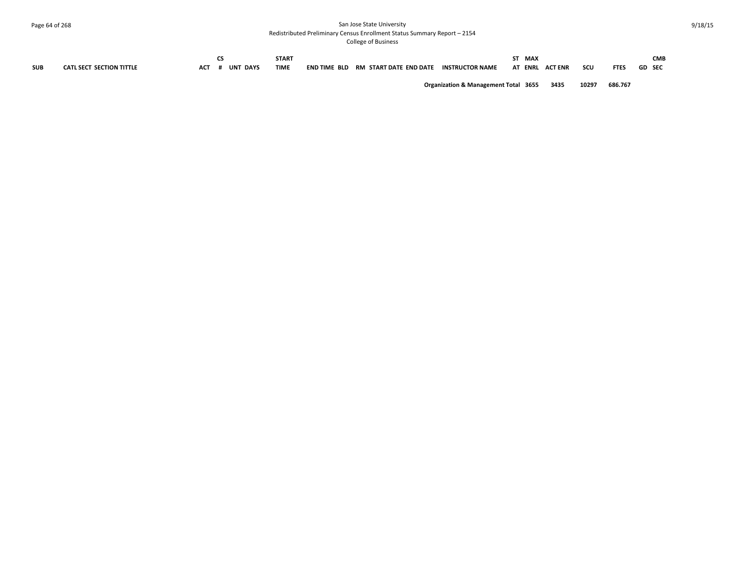# Page 64 of 268 San Jose State University Redistributed Preliminary Census Enrollment Status Summary Report – 2154

College of Business

|            |                                 |     |                 | <b>START</b> |                     |                        |                        | MAX |                    |     |            |               | <b>CMB</b> |
|------------|---------------------------------|-----|-----------------|--------------|---------------------|------------------------|------------------------|-----|--------------------|-----|------------|---------------|------------|
| <b>SUB</b> | <b>CATL SECT SECTION TITTLE</b> | ACT | <b>UNT DAYS</b> | <b>TIME</b>  | <b>END TIME BLD</b> | RM START DATE END DATE | <b>INSTRUCTOR NAME</b> | AT  | <b>ENRL ACTENR</b> | scu | <b>FTE</b> | <b>GD SEC</b> |            |
|            |                                 |     |                 |              |                     |                        |                        |     |                    |     |            |               |            |

**Organization & Management Total 3655 3435 10297 686.767**